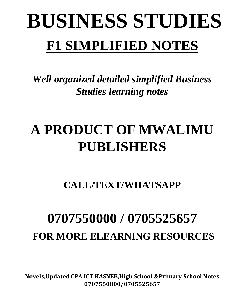# **BUSINESS STUDIES F1 SIMPLIFIED NOTES**

*Well organized detailed simplified Business Studies learning notes*

# **A PRODUCT OF MWALIMU PUBLISHERS**

**CALL/TEXT/WHATSAPP** 

# **0707550000 / 0705525657 FOR MORE ELEARNING RESOURCES**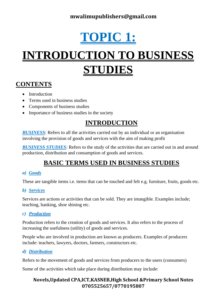# **DPIC 1**

# **INTRODUCTION TO BUSINESS STUDIES**

# **CONTENTS**

- Introduction
- Terms used in business studies
- Components of business studies
- Importance of business studies in the society

# **INTRODUCTION**

*BUSINESS*: Refers to all the activities carried out by an individual or an organisation involving the provision of goods and services with the aim of making profit

*BUSINESS STUDIES*: Refers to the study of the activities that are carried out in and around production, distribution and consumption of goods and services.

# **BASIC TERMS USED IN BUSINESS STUDIES**

### *a) Goods*

These are tangible items i.e. items that can be touched and felt e.g. furniture, fruits, goods etc.

### *b) Services*

Services are actions or activities that can be sold. They are intangible. Examples include; teaching, banking, shoe shining etc.

### *c) Production*

Production refers to the creation of goods and services. It also refers to the process of increasing the usefulness (utility) of goods and services.

People who are involved in production are known as producers. Examples of producers include: teachers, lawyers, doctors, farmers, constructors etc.

### *d) Distribution*

Refers to the movement of goods and services from producers to the users (consumers)

Some of the activities which take place during distribution may include: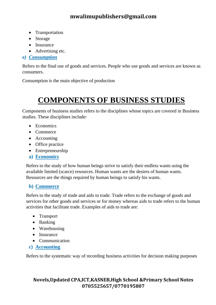- Transportation
- Storage
- Insurance
- Advertising etc.

### *e) Consumption*

Refers to the final use of goods and services. People who use goods and services are known as consumers.

Consumption is the main objective of production

# **COMPONENTS OF BUSINESS STUDIES**

Components of business studies refers to the disciplines whose topics are covered in Business studies. These disciplines include:

- Economics
- Commerce
- Accounting
- Office practice
- Entrepreneurship
- **a) Economics**

Refers to the study of how human beings strive to satisfy their endless wants using the available limited (scarce) resources. Human wants are the desires of human wants. Resources are the things required by human beings to satisfy his wants.

### **b) Commerce**

Refers to the study of trade and aids to trade. Trade refers to the exchange of goods and services for other goods and services or for money whereas aids to trade refers to the human activities that facilitate trade. Examples of aids to trade are:

- Transport
- Banking
- Warehousing
- Insurance
- Communication
- **c) Accounting**

Refers to the systematic way of recording business activities for decision making purposes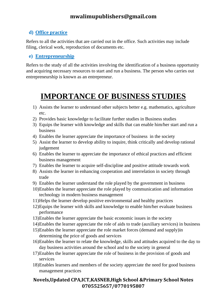### **d) Office practice**

Refers to all the activities that are carried out in the office. Such activities may include filing, clerical work, reproduction of documents etc.

### **e) Entrepreneurship**

Refers to the study of all the activities involving the identification of a business opportunity and acquiring necessary resources to start and run a business. The person who carries out entrepreneurship is known as an entrepreneur.

# **IMPORTANCE OF BUSINESS STUDIES**

- 1) Assists the learner to understand other subjects better e.g. mathematics, agriculture etc.
- 2) Provides basic knowledge to facilitate further studies in Business studies
- 3) Equips the learner with knowledge and skills that can enable him/her start and run a business
- 4) Enables the learner appreciate the importance of business in the society
- 5) Assist the learner to develop ability to inquire, think critically and develop rational judgement
- 6) Enables the learner to appreciate the importance of ethical practices and efficient business management
- 7) Enables the learner to acquire self-discipline and positive attitude towards work
- 8) Assists the learner in enhancing cooperation and interrelation in society through trade
- 9) Enables the learner understand the role played by the government in business
- 10)Enables the learner appreciate the role played by communication and information technology in modern business management
- 11)Helps the learner develop positive environmental and healthy practices
- 12)Equips the learner with skills and knowledge to enable him/her evaluate business performance
- 13)Enables the learner appreciate the basic economic issues in the society
- 14)Enables the learner appreciate the role of aids to trade (auxiliary services) in business
- 15)Enables the learner appreciate the role market forces (demand and supply)in determining the price of goods and services
- 16)Enables the learner to relate the knowledge, skills and attitudes acquired to the day to day business activities around the school and to the society in general
- 17)Enables the learner appreciate the role of business in the provision of goods and services
- 18)Enables learners and members of the society appreciate the need for good business management practices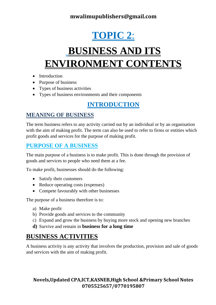# **TOPIC 2**:

# **BUSINESS AND ITS ENVIRONMENT CONTENTS**

- Introduction
- Purpose of business
- Types of business activities
- Types of business environments and their components

# **INTRODUCTION**

# **MEANING OF BUSINESS**

The term business refers to any activity carried out by an individual or by an organisation with the aim of making profit. The term can also be used to refer to firms or entities which profit goods and services for the purpose of making profit.

# **PURPOSE OF A BUSINESS**

The main purpose of a business is to make profit. This is done through the provision of goods and services to people who need them at a fee.

To make profit, businesses should do the following:

- Satisfy their customers
- Reduce operating costs (expenses)
- Compete favourably with other businesses

The purpose of a business therefore is to:

- a) Make profit
- b) Provide goods and services to the community
- c) Expand and grow the business by buying more stock and opening new branches
- **d)** Survive and remain in **business for a long time**

# **BUSINESS ACTIVITIES**

A business activity is any activity that involves the production, provision and sale of goods and services with the aim of making profit.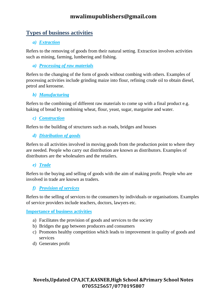# **Types of business activities**

### *a) Extraction*

Refers to the removing of goods from their natural setting. Extraction involves activities such as mining, farming, lumbering and fishing.

*a) Processing of raw materials*

Refers to the changing of the form of goods without combing with others. Examples of processing activities include grinding maize into flour, refining crude oil to obtain diesel, petrol and kerosene.

### *b) Manufacturing*

Refers to the combining of different raw materials to come up with a final product e.g. baking of bread by combining wheat, flour, yeast, sugar, margarine and water.

### *c) Construction*

Refers to the building of structures such as roads, bridges and houses

### *d) Distribution of goods*

Refers to all activities involved in moving goods from the production point to where they are needed. People who carry out distribution are known as distributors. Examples of distributors are the wholesalers and the retailers.

### *e) Trade*

Refers to the buying and selling of goods with the aim of making profit. People who are involved in trade are known as traders.

### *f) Provision of services*

Refers to the selling of services to the consumers by individuals or organisations. Examples of service providers include teachers, doctors, lawyers etc.

#### **Importance of business activities**

- a) Facilitates the provision of goods and services to the society
- b) Bridges the gap between producers and consumers
- c) Promotes healthy competition which leads to improvement in quality of goods and services
- d) Generates profit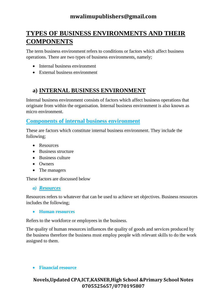# **TYPES OF BUSINESS ENVIRONMENTS AND THEIR COMPONENTS**

The term business environment refers to conditions or factors which affect business operations. There are two types of business environments, namely;

- Internal business environment
- External business environment

## **a) INTERNAL BUSINESS ENVIRONMENT**

Internal business environment consists of factors which affect business operations that originate from within the organisation. Internal business environment is also known as micro environment.

### **Components of internal business environment**

These are factors which constitute internal business environment. They include the following;

- Resources
- Business structure
- Business culture
- Owners
- The managers

These factors are discussed below

#### *a) Resources*

Resources refers to whatever that can be used to achieve set objectives. Business resources includes the following;

• **Human resources**

Refers to the workforce or employees in the business.

The quality of human resources influences the quality of goods and services produced by the business therefore the business must employ people with relevant skills to do the work assigned to them.

#### • **Financial resource**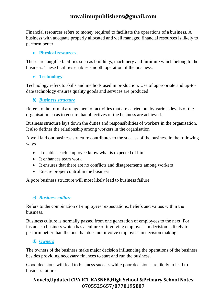Financial resources refers to money required to facilitate the operations of a business. A business with adequate properly allocated and well managed financial resources is likely to perform better.

### • **Physical resources**

These are tangible facilities such as buildings, machinery and furniture which belong to the business. These facilities enables smooth operation of the business.

• **Technology**

Technology refers to skills and methods used in production. Use of appropriate and up-todate technology ensures quality goods and services are produced

### *b) Business structure*

Refers to the formal arrangement of activities that are carried out by various levels of the organisation so as to ensure that objectives of the business are achieved.

Business structure lays down the duties and responsibilities of workers in the organisation. It also defines the relationship among workers in the organisation

A well laid out business structure contributes to the success of the business in the following ways

- It enables each employee know what is expected of him
- It enhances team work
- It ensures that there are no conflicts and disagreements among workers
- Ensure proper control in the business

A poor business structure will most likely lead to business failure

### *c) Business culture*

Refers to the combination of employees' expectations, beliefs and values within the business.

Business culture is normally passed from one generation of employees to the next. For instance a business which has a culture of involving employees in decision is likely to perform better than the one that does not involve employees in decision making.

### *d) Owners*

The owners of the business make major decision influencing the operations of the business besides providing necessary finances to start and run the business.

Good decisions will lead to business success while poor decisions are likely to lead to business failure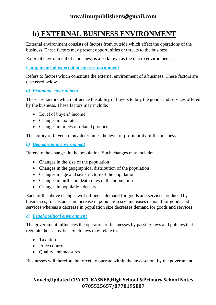# **b) EXTERNAL BUSINESS ENVIRONMENT**

External environment consists of factors from outside which affect the operations of the business. These factors may present opportunities or threats to the business.

External environment of a business is also known as the macro environment.

**Components of external business environment**

Refers to factors which constitute the external environment of a business. These factors are discussed below

#### *a) Economic environment*

These are factors which influence the ability of buyers to buy the goods and services offered by the business. These factors may include:

- Level of buyers' income
- Changes in tax rates
- Changes in prices of related products

The ability of buyers to buy determines the level of profitability of the business.

#### *b) Demographic environment*

Refers to the changes in the population. Such changes may include:

- Changes in the size of the population
- Changes in the geographical distribution of the population
- Changes in age and sex structure of the population
- Changes in birth and death rates in the population
- Changes in population density

Each of the above changes will influence demand for goods and services produced by businesses, for instance an increase in population size increases demand for goods and services whereas a decrease in population size decreases demand for goods and services

### *c) Legal-political environment*

The government influences the operation of businesses by passing laws and policies that regulate their activities. Such laws may relate to:

- Taxation
- Price control
- Quality and measures

Businesses will therefore be forced to operate within the laws set out by the government.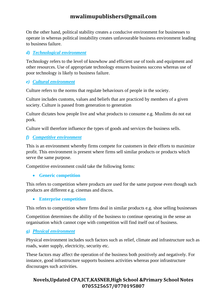On the other hand, political stability creates a conducive environment for businesses to operate in whereas political instability creates unfavourable business environment leading to business failure.

### *d) Technological environment*

Technology refers to the level of knowhow and efficient use of tools and equipment and other resources. Use of appropriate technology ensures business success whereas use of poor technology is likely to business failure.

### *e) Cultural environment*

Culture refers to the norms that regulate behaviours of people in the society.

Culture includes customs, values and beliefs that are practiced by members of a given society. Culture is passed from generation to generation

Culture dictates how people live and what products to consume e.g. Muslims do not eat pork.

Culture will therefore influence the types of goods and services the business sells.

### *f) Competitive environment*

This is an environment whereby firms compete for customers in their efforts to maximize profit. This environment is present where firms sell similar products or products which serve the same purpose.

Competitive environment could take the following forms:

### • **Generic competition**

This refers to competition where products are used for the same purpose even though such products are different e.g. cinemas and discos.

• **Enterprise competition**

This refers to competition where firms deal in similar products e.g. shoe selling businesses

Competition determines the ability of the business to continue operating in the sense an organisation which cannot cope with competition will find itself out of business.

### *g) Physical environment*

Physical environment includes such factors such as relief, climate and infrastructure such as roads, water supply, electricity, security etc.

These factors may affect the operation of the business both positively and negatively. For instance, good infrastructure supports business activities whereas poor infrastructure discourages such activities.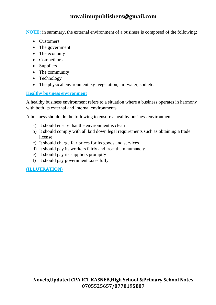**NOTE:** in summary, the external environment of a business is composed of the following:

- Customers
- The government
- The economy
- Competitors
- Suppliers
- The community
- Technology
- The physical environment e.g. vegetation, air, water, soil etc.

### **Healthy business environment**

A healthy business environment refers to a situation where a business operates in harmony with both its external and internal environments.

A business should do the following to ensure a healthy business environment

- a) It should ensure that the environment is clean
- b) It should comply with all laid down legal requirements such as obtaining a trade license
- c) It should charge fair prices for its goods and services
- d) It should pay its workers fairly and treat them humanely
- e) It should pay its suppliers promptly
- f) It should pay government taxes fully

### **(ILLUTRATION)**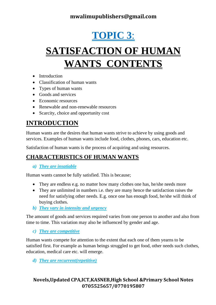# **TOPIC 3**:

# **SATISFACTION OF HUMAN WANTS CONTENTS**

- Introduction
- Classification of human wants
- Types of human wants
- Goods and services
- Economic resources
- Renewable and non-renewable resources
- Scarcity, choice and opportunity cost

# **INTRODUCTION**

Human wants are the desires that human wants strive to achieve by using goods and services. Examples of human wants include food, clothes, phones, cars, education etc.

Satisfaction of human wants is the process of acquiring and using resources.

# **CHARACTERISTICS OF HUMAN WANTS**

*a) They are insatiable*

Human wants cannot be fully satisfied. This is because;

- They are endless e.g. no matter how many clothes one has, he/she needs more
- They are unlimited in numbers i.e. they are many hence the satisfaction raises the need for satisfying other needs. E.g. once one has enough food, he/she will think of buying clothes.
- *b) They vary in intensity and urgency*

The amount of goods and services required varies from one person to another and also from time to time. This variation may also be influenced by gender and age.

*c) They are competitive*

Human wants compete for attention to the extent that each one of them yearns to be satisfied first. For example as human beings struggled to get food, other needs such clothes, education, medical care etc. will emerge.

*d) They are recurrent(repetitive)*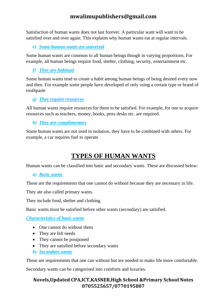Satisfaction of human wants does not last forever. A particular want will want to be satisfied over and over again. This explains why human wants eat at regular intervals.

*e) Some human wants are universal*

Some human wants are common to all human beings though in varying proportions. For example, all human beings require food, shelter, clothing, security, entertainment etc.

*f) They are habitual*

Some human wants tend to create a habit among human beings of being desired every now and then. For example some people have developed of only using a certain type or brand of toothpaste

### *g) They require resources*

All human wants require resources for them to be satisfied. For example, for one to acquire resources such as teachers, money, books, pens desks etc. are required.

*h) They are complimentary*

Some human wants are not used in isolation, they have to be combined with others. For example, a car requires fuel to operate

# **TYPES OF HUMAN WANTS**

Human wants can be classified into basic and secondary wants. These are discussed below:

### *a) Basic wants*

These are the requirements that one cannot do without because they are necessary in life.

They ate also called primary wants.

They include food, shelter and clothing.

Basic wants must be satisfied before other wants (secondary) are satisfied.

*Characteristics of basic wants*

- One cannot do without them
- They are felt needs
- They cannot be postponed
- They are satisfied before secondary wants
- *b) Secondary wants*

These are requirements that one can without but are needed to make life more comfortable.

Secondary wants can be categorised into comforts and luxuries.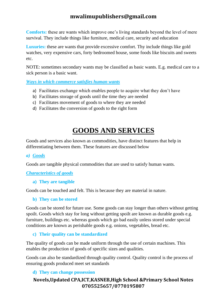**Comforts:** these are wants which improve one's living standards beyond the level of mere survival. They include things like furniture, medical care, security and education

**Luxuries:** these are wants that provide excessive comfort. Thy include things like gold watches, very expensive cars, forty bedroomed house, some foods like biscuits and sweets etc.

NOTE: sometimes secondary wants may be classified as basic wants. E.g. medical care to a sick person is a basic want.

*Ways in which commerce satisfies human wants*

- a) Facilitates exchange which enables people to acquire what they don't have
- b) Facilitates storage of goods until the time they are needed
- c) Facilitates movement of goods to where they are needed
- d) Facilitates the conversion of goods to the right form

# **GOODS AND SERVICES**

Goods and services also known as commodities, have distinct features that help in differentiating between them. These features are discussed below

### *a) Goods*

Goods are tangible physical commodities that are used to satisfy human wants.

### *Characteristics of goods*

#### **a) They are tangible**

Goods can be touched and felt. This is because they are material in nature.

### **b) They can be stored**

Goods can be stored for future use. Some goods can stay longer than others without getting spoilt. Goods which stay for long without getting spoilt are known as durable goods e.g. furniture, buildings etc. whereas goods which go bad easily unless stored under special conditions are known as perishable goods e.g. onions, vegetables, bread etc.

### **c) Their quality can be standardized**

The quality of goods can be made uniform through the use of certain machines. This enables the production of goods of specific sizes and qualities.

Goods can also be standardized through quality control. Quality control is the process of ensuring goods produced meet set standards

### **d) They can change possession**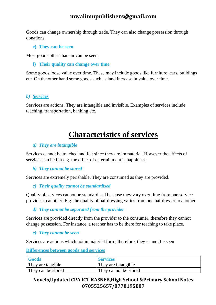Goods can change ownership through trade. They can also change possession through donations.

**e) They can be seen**

Most goods other than air can be seen.

**f) Their quality can change over time**

Some goods loose value over time. These may include goods like furniture, cars, buildings etc. On the other hand some goods such as land increase in value over time.

### *b) Services*

Services are actions. They are intangible and invisible. Examples of services include teaching, transportation, banking etc.

# **Characteristics of services**

#### *a) They are intangible*

Services cannot be touched and felt since they are immaterial. However the effects of services can be felt e.g. the effect of entertainment is happiness.

### *b) They cannot be stored*

Services are extremely perishable. They are consumed as they are provided.

#### *c) Their quality cannot be standardised*

Quality of services cannot be standardised because they vary over time from one service provider to another. E.g. the quality of hairdressing varies from one hairdresser to another

### *d) They cannot be separated from the provider*

Services are provided directly from the provider to the consumer, therefore they cannot change possession. For instance, a teacher has to be there for teaching to take place.

#### *e) They cannot be seen*

Services are actions which not in material form, therefore, they cannot be seen

**Differences between goods and services**

| <b>Goods</b>       | <b>Services</b>       |
|--------------------|-----------------------|
| They are tangible  | They are intangible   |
| They can be stored | They cannot be stored |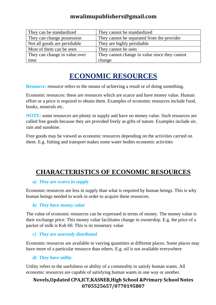| They can be standardized      | They cannot be standardized                   |
|-------------------------------|-----------------------------------------------|
| They can change possession    | They cannot be separated from the provider    |
| Not all goods are perishable  | They are highly perishable                    |
| Most of them can be seen      | They cannot be seen                           |
| They can change in value over | They cannot change in value since they cannot |
| time                          | change                                        |

# **ECONOMIC RESOURCES**

**Resource:** resource refers to the means of achieving a result or of doing something.

Economic resources: these are resources which are scarce and have money value. Human effort or a price is required to obtain them. Examples of economic resources include food, books, minerals etc.

**NOTE:** some resources are plenty in supply and have no money value. Such resources are called free goods because they are provided freely as gifts of nature. Examples include air, rain and sunshine.

Free goods may be viewed as economic resources depending on the activities carried on them. E.g. fishing and transport makes some water bodies economic activities

# **CHARACTERISTICS OF ECONOMIC RESOURCES**

### *a) They are scarce in supply*

Economic resources are less in supply than what is required by human beings. This is why human beings needed to work in order to acquire these resources.

#### *b) They have money value*

The value of economic resources can be expressed in terms of money. The money value is their exchange price. This money value facilitates change in ownership. E.g. the price of a packet of milk is Ksh 60. This is its monetary value

### *c) They are unevenly distributed*

Economic resources are available in varying quantities at different places. Some places may have more of a particular resource than others. E.g. oil is not available everywhere

### *d) They have utility*

Utility refers to the usefulness or ability of a commodity to satisfy human wants. All economic resources are capable of satisfying human wants in one way or another.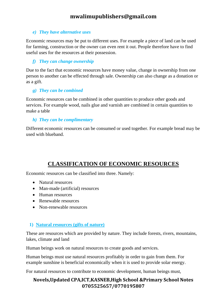#### *e) They have alternative uses*

Economic resources may be put to different uses. For example a piece of land can be used for farming, construction or the owner can even rent it out. People therefore have to find useful uses for the resources at their possession.

### *f) They can change ownership*

Due to the fact that economic resources have money value, change in ownership from one person to another can be effected through sale. Ownership can also change as a donation or as a gift.

### *g) They can be combined*

Economic resources can be combined in other quantities to produce other goods and services. For example wood, nails glue and varnish are combined in certain quantities to make a table

#### *h) They can be complimentary*

Different economic resources can be consumed or used together. For example bread may be used with blueband.

# **CLASSIFICATION OF ECONOMIC RESOURCES**

Economic resources can be classified into three. Namely:

- Natural resources
- Man-made (artificial) resources
- Human resources
- Renewable resources
- Non-renewable resources

### **1) Natural resources (gifts of nature)**

These are resources which are provided by nature. They include forests, rivers, mountains, lakes, climate and land

Human beings work on natural resources to create goods and services.

Human beings must use natural resources profitably in order to gain from them. For example sunshine is beneficial economically when it is used to provide solar energy.

For natural resources to contribute to economic development, human beings must,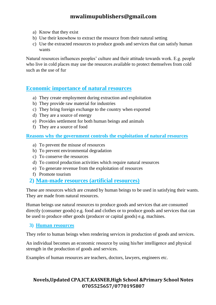- a) Know that they exist
- b) Use their knowhow to extract the resource from their natural setting
- c) Use the extracted resources to produce goods and services that can satisfy human wants

Natural resources influences peoples' culture and their attitude towards work. E.g. people who live in cold places may use the resources available to protect themselves from cold such as the use of fur

### **Economic importance of natural resources**

- a) They create employment during extraction and exploitation
- b) They provide raw material for industries
- c) They bring foreign exchange to the country when exported
- d) They are a source of energy
- e) Provides settlement for both human beings and animals
- f) They are a source of food

**Reasons why the government controls the exploitation of natural resources**

- a) To prevent the misuse of resources
- b) To prevent environmental degradation
- c) To conserve the resources
- d) To control production activities which require natural resources
- e) To generate revenue from the exploitation of resources
- f) Promote tourism
- **2) Man-made resources (artificial resources)**

These are resources which are created by human beings to be used in satisfying their wants. They are made from natural resources.

Human beings use natural resources to produce goods and services that are consumed directly (consumer goods) e.g. food and clothes or to produce goods and services that can be used to produce other goods (producer or capital goods) e.g. machines.

### **3) Human resources**

They refer to human beings when rendering services in production of goods and services.

An individual becomes an economic resource by using his/her intelligence and physical strength in the production of goods and services.

Examples of human resources are teachers, doctors, lawyers, engineers etc.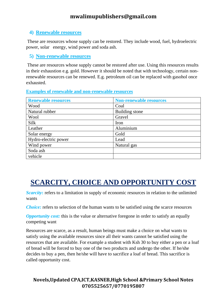### **4) Renewable resources**

These are resources whose supply can be restored. They include wood, fuel, hydroelectric power, solar energy, wind power and soda ash.

**5) Non-renewable resources**

These are resources whose supply cannot be restored after use. Using this resources results in their exhaustion e.g. gold. However it should be noted that with technology, certain nonrenewable resources can be renewed. E.g. petroleum oil can be replaced with gasohol once exhausted.

**Examples of renewable and non-renewable resources**

| <b>Renewable resources</b> | <b>Non-renewable resources</b> |
|----------------------------|--------------------------------|
| Wood                       | Coal                           |
| Natural rubber             | <b>Building</b> stone          |
| Wool                       | Gravel                         |
| Silk                       | Iron                           |
| Leather                    | Aluminium                      |
| Solar energy               | Gold                           |
| Hydro-electric power       | Lead                           |
| Wind power                 | Natural gas                    |
| Soda ash                   |                                |
| vehicle                    |                                |

# **SCARCITY, CHOICE AND OPPORTUNITY COST**

**Scarcity:** refers to a limitation in supply of economic resources in relation to the unlimited wants

*Choice:* refers to selection of the human wants to be satisfied using the scarce resources

*Opportunity cost:* this is the value or alternative foregone in order to satisfy an equally competing want

Resources are scarce, as a result, human beings must make a choice on what wants to satisfy using the available resources since all their wants cannot be satisfied using the resources that are available. For example a student with Ksh 30 to buy either a pen or a loaf of bread will be forced to buy one of the two products and undergo the other. If he/she decides to buy a pen, then he/she will have to sacrifice a loaf of bread. This sacrifice is called opportunity cost.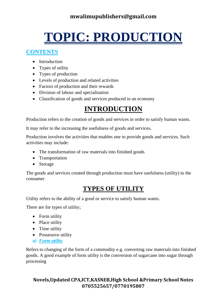# **TOPIC: PRODUCTION**

### **CONTENTS**

- Introduction
- Types of utility
- Types of production
- Levels of production and related activities
- Factors of production and their rewards
- Division of labour and specialisation
- Classification of goods and services produced in an economy

# **INTRODUCTION**

Production refers to the creation of goods and services in order to satisfy human wants.

It may refer to the increasing the usefulness of goods and services.

Production involves the activities that enables one to provide goods and services. Such activities may include:

- The transformation of raw materials into finished goods
- Transportation
- Storage

The goods and services created through production must have usefulness (utility) to the consumer

# **TYPES OF UTILITY**

Utility refers to the ability of a good or service to satisfy human wants.

There are for types of utility;

- Form utility
- Place utility
- Time utility
- Possessive utility
- *a) Form utility*

Refers to changing of the form of a commodity e.g. converting raw materials into finished goods. A good example of form utility is the conversion of sugarcane into sugar through processing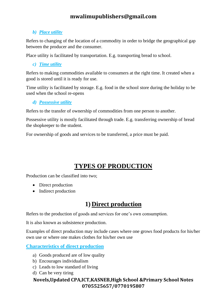### *b) Place utility*

Refers to changing of the location of a commodity in order to bridge the geographical gap between the producer and the consumer.

Place utility is facilitated by transportation. E.g. transporting bread to school.

*c) Time utility*

Refers to making commodities available to consumers at the right time. It created when a good is stored until it is ready for use.

Time utility is facilitated by storage. E.g. food in the school store during the holiday to be used when the school re-opens

*d) Possessive utility*

Refers to the transfer of ownership of commodities from one person to another.

Possessive utility is mostly facilitated through trade. E.g. transferring ownership of bread the shopkeeper to the student.

For ownership of goods and services to be transferred, a price must be paid.

# **TYPES OF PRODUCTION**

Production can be classified into two;

- Direct production
- Indirect production

# **1) Direct production**

Refers to the production of goods and services for one's own consumption.

It is also known as subsistence production.

Examples of direct production may include cases where one grows food products for his/her own use or where one makes clothes for his/her own use

**Characteristics of direct production**

- a) Goods produced are of low quality
- b) Encourages individualism
- c) Leads to low standard of living
- d) Can be very tiring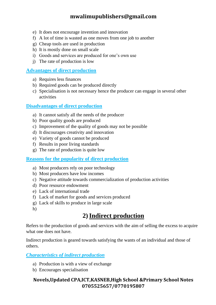- e) It does not encourage invention and innovation
- f) A lot of time is wasted as one moves from one job to another
- g) Cheap tools are used in production
- h) It is mostly done on small scale
- i) Goods and services are produced for one's own use
- j) The rate of production is low

### **Advantages of direct production**

- a) Requires less finances
- b) Required goods can be produced directly
- c) Specialisation is not necessary hence the producer can engage in several other activities

### **Disadvantages of direct production**

- a) It cannot satisfy all the needs of the producer
- b) Poor quality goods are produced
- c) Improvement of the quality of goods may not be possible
- d) It discourages creativity and innovation
- e) Variety of goods cannot be produced
- f) Results in poor living standards
- g) The rate of production is quite low

### **Reasons for the popularity of direct production**

- a) Most producers rely on poor technology
- b) Most producers have low incomes
- c) Negative attitude towards commercialization of production activities
- d) Poor resource endowment
- e) Lack of international trade
- f) Lack of market for goods and services produced
- g) Lack of skills to produce in large scale
- h)

# **2)Indirect production**

Refers to the production of goods and services with the aim of selling the excess to acquire what one does not have.

Indirect production is geared towards satisfying the wants of an individual and those of others.

### *Characteristics of indirect production*

- a) Production is with a view of exchange
- b) Encourages specialisation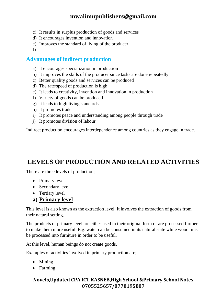- c) It results in surplus production of goods and services
- d) It encourages invention and innovation
- e) Improves the standard of living of the producer
- f)

### **Advantages of indirect production**

- a) It encourages specialization in production
- b) It improves the skills of the producer since tasks are done repeatedly
- c) Better quality goods and services can be produced
- d) The rate/speed of production is high
- e) It leads to creativity, invention and innovation in production
- f) Variety of goods can be produced
- g) It leads to high living standards
- h) It promotes trade
- i) It promotes peace and understanding among people through trade
- j) It promotes division of labour

Indirect production encourages interdependence among countries as they engage in trade.

# **LEVELS OF PRODUCTION AND RELATED ACTIVITIES**

There are three levels of production;

- Primary level
- Secondary level
- Tertiary level

### **a) Primary level**

This level is also known as the extraction level. It involves the extraction of goods from their natural setting.

The products of primary level are either used in their original form or are processed further to make them more useful. E.g. water can be consumed in its natural state while wood must be processed into furniture in order to be useful.

At this level, human beings do not create goods.

Examples of activities involved in primary production are;

- Mining
- Farming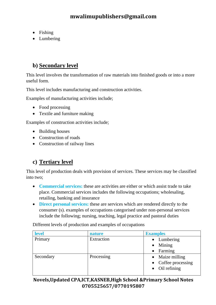- Fishing
- Lumbering

# **b) Secondary level**

This level involves the transformation of raw materials into finished goods or into a more useful form.

This level includes manufacturing and construction activities.

Examples of manufacturing activities include;

- Food processing
- Textile and furniture making

Examples of construction activities include;

- Building houses
- Construction of roads
- Construction of railway lines

# **c) Tertiary level**

This level of production deals with provision of services. These services may be classified into two;

- **Commercial services:** these are activities are either or which assist trade to take place. Commercial services includes the following occupations; wholesaling, retailing, banking and insurance
- **Direct personal services:** these are services which are rendered directly to the consumer (s). examples of occupations categorised under non-personal services include the following; nursing, teaching, legal practice and pastoral duties

Different levels of production and examples of occupations

| level     | nature     | <b>Examples</b>        |
|-----------|------------|------------------------|
| Primary   | Extraction | $\bullet$ Lumbering    |
|           |            | $\bullet$ Mining       |
|           |            | $\bullet$ Farming      |
| Secondary | Processing | • Maize milling        |
|           |            | • Coffee processing    |
|           |            | $\bullet$ Oil refining |
|           |            |                        |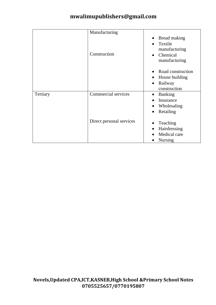|          | Manufacturing              |                                      |
|----------|----------------------------|--------------------------------------|
|          |                            | Bread making<br>Textile<br>$\bullet$ |
|          | Construction               | manufacturing                        |
|          |                            | Chemical                             |
|          |                            | manufacturing                        |
|          |                            | Road construction                    |
|          |                            | House building<br>$\bullet$          |
|          |                            | Railway<br>$\bullet$                 |
|          |                            | construction                         |
| Tertiary | <b>Commercial services</b> | <b>Banking</b><br>$\bullet$          |
|          |                            | Insurance                            |
|          |                            | Wholesaling<br>$\bullet$             |
|          |                            | Retailing<br>$\bullet$               |
|          | Direct personal services   | Teaching                             |
|          |                            | Hairdressing                         |
|          |                            | Medical care                         |
|          |                            | <b>Nursing</b>                       |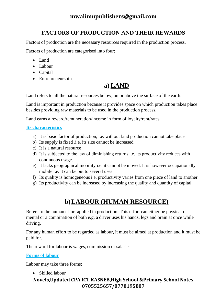# **FACTORS OF PRODUCTION AND THEIR REWARDS**

Factors of production are the necessary resources required in the production process. Factors of production are categorised into four;

- Land
- Labour
- Capital
- Entrepreneurship

# **a) LAND**

Land refers to all the natural resources below, on or above the surface of the earth.

Land is important in production because it provides space on which production takes place besides providing raw materials to be used in the production process.

Land earns a reward/remuneration/income in form of loyalty/rent/rates.

### **Its characteristics**

- a) It is basic factor of production, i.e. without land production cannot take place
- b) Its supply is fixed .i.e. its size cannot be increased
- c) It is a natural resource
- d) It is subjected to the law of diminishing returns i.e. its productivity reduces with continuous usage.
- e) It lacks geographical mobility i.e. it cannot be moved. It is however occupationally mobile i.e. it can be put to several uses
- f) Its quality is homogeneous i.e. productivity varies from one piece of land to another
- g) Its productivity can be increased by increasing the quality and quantity of capital.

# **b)LABOUR (HUMAN RESOURCE)**

Refers to the human effort applied in production. This effort can either be physical or mental or a combination of both e.g. a driver uses his hands, legs and brain at once while driving.

For any human effort to be regarded as labour, it must be aimed at production and it must be paid for.

The reward for labour is wages, commission or salaries.

### **Forms of labour**

Labour may take three forms;

• Skilled labour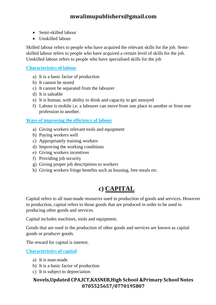- Semi-skilled labour
- Unskilled labour

Skilled labour refers to people who have acquired the relevant skills for the job. Semiskilled labour refers to people who have acquired a certain level of skills for the job. Unskilled labour refers to people who have specialised skills for the job

### **Characteristics of labour**

- a) It is a basic factor of production
- b) It cannot be stored
- c) It cannot be separated from the labourer
- d) It is saleable
- e) It is human, with ability to think and capacity to get annoyed
- f) Labour is mobile i.e. a labourer can move from one place to another or from one profession to another.

### **Ways of improving the efficiency of labour**

- a) Giving workers relevant tools and equipment
- b) Paying workers well
- c) Appropriately training workers
- d) Improving the working conditions
- e) Giving workers incentives
- f) Providing job security
- g) Giving proper job descriptions to workers
- h) Giving workers fringe benefits such as housing, free meals etc.

# **c) CAPITAL**

Capital refers to all man-made resources used in production of goods and services. However in production, capital refers to those goods that are produced in order to be used in producing other goods and services.

Capital includes machines, tools and equipment.

Goods that are used in the production of other goods and services are known as capital goods or producer goods.

The reward for capital is interest.

**Characteristics of capital**

- a) It is man-made
- b) It is a basic factor of production
- c) It is subject to depreciation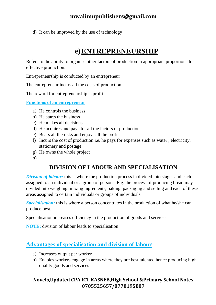d) It can be improved by the use of technology

# **e)ENTREPRENEURSHIP**

Refers to the ability to organise other factors of production in appropriate proportions for effective production.

Entrepreneurship is conducted by an entrepreneur

The entrepreneur incurs all the costs of production

The reward for entrepreneurship is profit

**Functions of an entrepreneur**

- a) He controls the business
- b) He starts the business
- c) He makes all decisions
- d) He acquires and pays for all the factors of production
- e) Bears all the risks and enjoys all the profit
- f) Incurs the cost of production i.e. he pays for expenses such as water , electricity, stationery and postage
- g) He owns the whole project
- h)

## **DIVISION OF LABOUR AND SPECIALISATION**

*Division of labour:* this is where the production process in divided into stages and each assigned to an individual or a group of persons. E.g. the process of producing bread may divided into weighing, mixing ingredients, baking, packaging and selling and each of these areas assigned to certain individuals or groups of individuals

*Specialisation:* this is where a person concentrates in the production of what he/she can produce best.

Specialisation increases efficiency in the production of goods and services.

**NOTE:** division of labour leads to specialisation.

## **Advantages of specialisation and division of labour**

- a) Increases output per worker
- b) Enables workers engage in areas where they are best talented hence producing high quality goods and services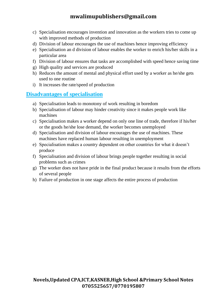- c) Specialisation encourages invention and innovation as the workers tries to come up with improved methods of production
- d) Division of labour encourages the use of machines hence improving efficiency
- e) Specialisation an d division of labour enables the worker to enrich his/her skills in a particular area
- f) Division of labour ensures that tasks are accomplished with speed hence saving time
- g) High quality and services are produced
- h) Reduces the amount of mental and physical effort used by a worker as he/she gets used to one routine
- i) It increases the rate/speed of production

### **Disadvantages of specialisation**

- a) Specialisation leads to monotony of work resulting in boredom
- b) Specialisation of labour may hinder creativity since it makes people work like machines
- c) Specialisation makes a worker depend on only one line of trade, therefore if his/her or the goods he/she lose demand, the worker becomes unemployed
- d) Specialisation and division of labour encourages the use of machines. These machines have replaced human labour resulting in unemployment
- e) Specialisation makes a country dependent on other countries for what it doesn't produce
- f) Specialisation and division of labour brings people together resulting in social problems such as crimes
- g) The worker does not have pride in the final product because it results from the efforts of several people
- h) Failure of production in one stage affects the entire process of production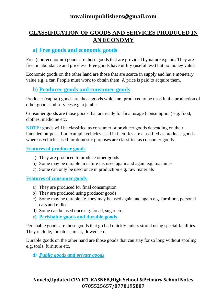# **CLASSIFICATION OF GOODS AND SERVICES PRODUCED IN AN ECONOMY**

### **a) Free goods and economic goods**

Free (non-economic) goods are those goods that are provided by nature e.g. air. They are free, in abundance and priceless. Free goods have utility (usefulness) but no money value.

Economic goods on the other hand are those that are scarce in supply and have monetary value e.g. a car. People must work to obtain them. A price is paid to acquire them.

### **b) Producer goods and consumer goods**

Producer (capital) goods are those goods which are produced to be used in the production of other goods and services e.g. a jembe.

Consumer goods are those goods that are ready for final usage (consumption) e.g. food, clothes, medicine etc.

**NOTE:** goods will be classified as consumer or producer goods depending on their intended purpose. For example vehicles used in factories are classified as producer goods whereas vehicles used for domestic purposes are classified as consumer goods.

### **Features of producer goods**

- a) They are produced to produce other goods
- b) Some may be durable in nature i.e. used again and again e.g. machines
- c) Some can only be used once in production e.g. raw materials

### **Features of consumer goods**

- a) They are produced for final consumption
- b) They are produced using producer goods
- c) Some may be durable i.e. they may be used again and again e.g. furniture, personal cars and radios.
- d) Some can be used once e.g. bread, sugar etc.
- **c) Perishable goods and durable goods**

Perishable goods are those goods that go bad quickly unless stored using special facilities. They include; tomatoes, meat, flowers etc.

Durable goods on the other hand are those goods that can stay for so long without spoiling e.g. tools, furniture etc.

*d) Public goods and private goods*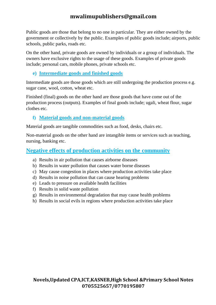Public goods are those that belong to no one in particular. They are either owned by the government or collectively by the public. Examples of public goods include; airports, public schools, public parks, roads etc.

On the other hand, private goods are owned by individuals or a group of individuals. The owners have exclusive rights to the usage of these goods. Examples of private goods include; personal cars, mobile phones, private schools etc.

### **e) Intermediate goods and finished goods**

Intermediate goods are those goods which are still undergoing the production process e.g. sugar cane, wool, cotton, wheat etc.

Finished (final) goods on the other hand are those goods that have come out of the production process (outputs). Examples of final goods include; ugali, wheat flour, sugar clothes etc.

### **f) Material goods and non-material goods**

Material goods are tangible commodities such as food, desks, chairs etc.

Non-material goods on the other hand are intangible items or services such as teaching, nursing, banking etc.

### **Negative effects of production activities on the community**

- a) Results in air pollution that causes airborne diseases
- b) Results in water pollution that causes water borne diseases
- c) May cause congestion in places where production activities take place
- d) Results in noise pollution that can cause hearing problems
- e) Leads to pressure on available health facilities
- f) Results in solid waste pollution
- g) Results in environmental degradation that may cause health problems
- h) Results in social evils in regions where production activities take place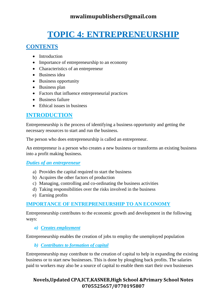# **TOPIC 4: ENTREPRENEURSHIP**

### **CONTENTS**

- Introduction
- Importance of entrepreneurship to an economy
- Characteristics of an entrepreneur
- Business idea
- Business opportunity
- Business plan
- Factors that influence entrepreneurial practices
- Business failure
- Ethical issues in business

# **INTRODUCTION**

Entrepreneurship is the process of identifying a business opportunity and getting the necessary resources to start and run the business.

The person who does entrepreneurship is called an entrepreneur.

An entrepreneur is a person who creates a new business or transforms an existing business into a profit making business.

### *Duties of an entrepreneur*

- a) Provides the capital required to start the business
- b) Acquires the other factors of production
- c) Managing, controlling and co-ordinating the business activities
- d) Taking responsibilities over the risks involved in the business
- e) Earning profits

### **IMPORTANCE OF ENTREPRENEURSHIP TO AN ECONOMY**

Entrepreneurship contributes to the economic growth and development in the following ways:

*a) Creates employment*

Entrepreneurship enables the creation of jobs to employ the unemployed population

*b) Contributes to formation of capital*

Entrepreneurship may contribute to the creation of capital to help in expanding the existing business or to start new businesses. This is done by ploughing back profits. The salaries paid to workers may also be a source of capital to enable them start their own businesses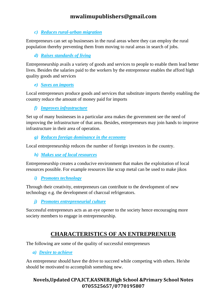### *c) Reduces rural-urban migration*

Entrepreneurs can set up businesses in the rural areas where they can employ the rural population thereby preventing them from moving to rural areas in search of jobs.

### *d) Raises standards of living*

Entrepreneurship avails a variety of goods and services to people to enable them lead better lives. Besides the salaries paid to the workers by the entrepreneur enables the afford high quality goods and services

### *e) Saves on imports*

Local entrepreneurs produce goods and services that substitute imports thereby enabling the country reduce the amount of money paid for imports

*f) Improves infrastructure*

Set up of many businesses in a particular area makes the government see the need of improving the infrastructure of that area. Besides, entrepreneurs may join hands to improve infrastructure in their area of operation.

*g) Reduces foreign dominance in the economy*

Local entrepreneurship reduces the number of foreign investors in the country.

*h) Makes use of local resources*

Entrepreneurship creates a conducive environment that makes the exploitation of local resources possible. For example resources like scrap metal can be used to make jikos

*i) Promotes technology*

Through their creativity, entrepreneurs can contribute to the development of new technology e.g. the development of charcoal refrigerators.

*j) Promotes entrepreneurial culture*

Successful entrepreneurs acts as an eye opener to the society hence encouraging more society members to engage in entrepreneurship.

# **CHARACTERISTICS OF AN ENTREPRENEUR**

The following are some of the quality of successful entrepreneurs

*a) Desire to achieve*

An entrepreneur should have the drive to succeed while competing with others. He/she should be motivated to accomplish something new.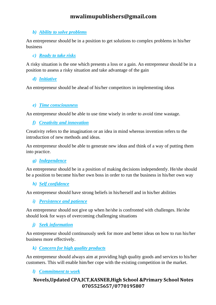### *b) Ability to solve problems*

An entrepreneur should be in a position to get solutions to complex problems in his/her business

### *c) Ready to take risks*

A risky situation is the one which presents a loss or a gain. An entrepreneur should be in a position to assess a risky situation and take advantage of the gain

### *d) Initiative*

An entrepreneur should be ahead of his/her competitors in implementing ideas

### *e) Time consciousness*

An entrepreneur should be able to use time wisely in order to avoid time wastage.

*f) Creativity and innovation*

Creativity refers to the imagination or an idea in mind whereas invention refers to the introduction of new methods and ideas.

An entrepreneur should be able to generate new ideas and think of a way of putting them into practice.

### *g) Independence*

An entrepreneur should be in a position of making decisions independently. He/she should be a position to become his/her own boss in order to run the business in his/her own way

### *h) Self confidence*

An entrepreneur should have strong beliefs in his/herself and in his/her abilities

### *i) Persistence and patience*

An entrepreneur should not give up when he/she is confronted with challenges. He/she should look for ways of overcoming challenging situations

### *j) Seek information*

An entrepreneur should continuously seek for more and better ideas on how to run his/her business more effectively.

### *k) Concern for high quality products*

An entrepreneur should always aim at providing high quality goods and services to his/her customers. This will enable him/her cope with the existing competition in the market.

### *l) Commitment to work*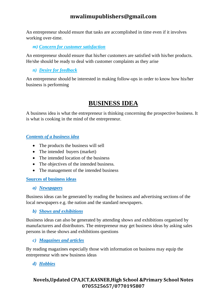An entrepreneur should ensure that tasks are accomplished in time even if it involves working over-time.

*m) Concern for customer satisfaction*

An entrepreneur should ensure that his/her customers are satisfied with his/her products. He/she should be ready to deal with customer complaints as they arise

### *n) Desire for feedback*

An entrepreneur should be interested in making follow-ups in order to know how his/her business is performing

# **BUSINESS IDEA**

A business idea is what the entrepreneur is thinking concerning the prospective business. It is what is cooking in the mind of the entrepreneur.

### *Contents of a business idea*

- The products the business will sell
- The intended buyers (market)
- The intended location of the business
- The objectives of the intended business.
- The management of the intended business

### **Sources of business ideas**

### *a) Newspapers*

Business ideas can be generated by reading the business and advertising sections of the local newspapers e.g. the nation and the standard newspapers.

*b) Shows and exhibitions*

Business ideas can also be generated by attending shows and exhibitions organised by manufacturers and distributors. The entrepreneur may get business ideas by asking sales persons in these shows and exhibitions questions

### *c) Magazines and articles*

By reading magazines especially those with information on business may equip the entrepreneur with new business ideas

### *d) Hobbies*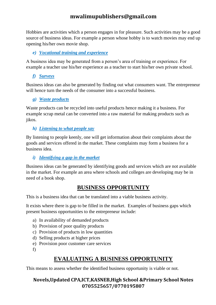Hobbies are activities which a person engages in for pleasure. Such activities may be a good source of business ideas. For example a person whose hobby is to watch movies may end up opening his/her own movie shop.

### *e) Vocational training and experience*

A business idea may be generated from a person's area of training or experience. For example a teacher use his/her experience as a teacher to start his/her own private school.

*f) Surveys*

Business ideas can also be generated by finding out what consumers want. The entrepreneur will hence turn the needs of the consumer into a successful business.

### *g) Waste products*

Waste products can be recycled into useful products hence making it a business. For example scrap metal can be converted into a raw material for making products such as jikos.

### *h) Listening to what people say*

By listening to people keenly, one will get information about their complaints about the goods and services offered in the market. These complaints may form a business for a business idea.

### *i) Identifying a gap in the market*

Business ideas can be generated by identifying goods and services which are not available in the market. For example an area where schools and colleges are developing may be in need of a book shop.

## **BUSINESS OPPORTUNITY**

This is a business idea that can be translated into a viable business activity.

It exists where there is gap to be filled in the market. Examples of business gaps which present business opportunities to the entrepreneur include:

- a) In availability of demanded products
- b) Provision of poor quality products
- c) Provision of products in low quantities
- d) Selling products at higher prices
- e) Provision poor customer care services

f)

# **EVALUATING A BUSINESS OPPORTUNITY**

This means to assess whether the identified business opportunity is viable or not.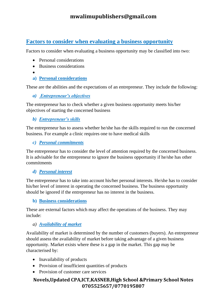# **Factors to consider when evaluating a business opportunity**

Factors to consider when evaluating a business opportunity may be classified into two:

- Personal considerations
- Business considerations
- •
- **a) Personal considerations**

These are the abilities and the expectations of an entrepreneur. They include the following:

*a) Entrepreneur's objectives*

The entrepreneur has to check whether a given business opportunity meets his/her objectives of starting the concerned business

*b) Entrepreneur's skills*

The entrepreneur has to assess whether he/she has the skills required to run the concerned business. For example a clinic requires one to have medical skills

#### *c) Personal commitments*

The entrepreneur has to consider the level of attention required by the concerned business. It is advisable for the entrepreneur to ignore the business opportunity if he/she has other commitments

#### *d) Personal interest*

The entrepreneur has to take into account his/her personal interests. He/she has to consider his/her level of interest in operating the concerned business. The business opportunity should be ignored if the entrepreneur has no interest in the business.

**b) Business considerations**

These are external factors which may affect the operations of the business. They may include:

#### *a) Availability of market*

Availability of market is determined by the number of customers (buyers). An entrepreneur should assess the availability of market before taking advantage of a given business opportunity. Market exists where these is a gap in the market. This gap may be characterised by:

- Inavailability of products
- Provision of insufficient quantities of products
- Provision of customer care services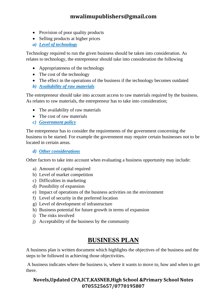- Provision of poor quality products
- Selling products at higher prices
- *a) Level of technology*

Technology required to run the given business should be taken into consideration. As relates to technology, the entrepreneur should take into consideration the following

- Appropriateness of the technology
- The cost of the technology
- The effect in the operations of the business if the technology becomes outdated
- *b) Availability of raw materials*

The entrepreneur should take into account access to raw materials required by the business. As relates to raw materials, the entrepreneur has to take into consideration;

- The availability of raw materials
- The cost of raw materials
- *c) Government policy*

The entrepreneur has to consider the requirements of the government concerning the business to be started. For example the government may require certain businesses not to be located in certain areas.

*d) Other considerations*

Other factors to take into account when evaluating a business opportunity may include:

- a) Amount of capital required
- b) Level of market competition
- c) Difficulties in marketing
- d) Possibility of expansion
- e) Impact of operations of the business activities on the environment
- f) Level of security in the preferred location
- g) Level of development of infrastructure
- h) Business potential for future growth in terms of expansion
- i) The risks involved
- j) Acceptability of the business by the community

# **BUSINESS PLAN**

A business plan is written document which highlights the objectives of the business and the steps to be followed in achieving those objectivities.

A business indicates where the business is, where it wants to move to, how and when to get there.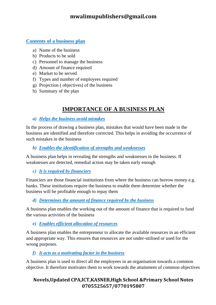#### **Contents of a business plan**

- a) Name of the business
- b) Products to be sold
- c) Personnel to manage the business
- d) Amount of finance required
- e) Market to be served
- f) Types and number of employees required
- g) Projection ( objectives) of the business
- h) Summary of the plan

# **IMPORTANCE OF A BUSINESS PLAN**

#### *a) Helps the business avoid mistakes*

In the process of drawing a business plan, mistakes that would have been made in the business are identified and therefore corrected. This helps in avoiding the occurrence of such mistakes in the business

*b) Enables the identification of strengths and weaknesses*

A business plan helps in revealing the strengths and weaknesses in the business. If weaknesses are detected, remedial action may be taken early enough

#### *c) It is required by financiers*

Financiers are those financial institutions from where the business can borrow money e.g. banks. These institutions require the business to enable them determine whether the business will be profitable enough to repay them

*d) Determines the amount of finance required by the business*

A business plan enables the working out of the amount of finance that is required to fund the various activities of the business

*e) Enables efficient allocation of resources*

A business plan enables the entrepreneur to allocate the available resources in an efficient and appropriate way. This ensures that resources are not under-utilised or used for the wrong purposes.

#### *f) It acts as a motivating factor in the business*

A business plan is used to direct all the employees in an organisation towards a common objective. It therefore motivates them to work towards the attainment of common objectives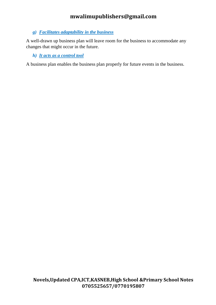#### *g) Facilitates adaptability in the business*

A well-drawn up business plan will leave room for the business to accommodate any changes that might occur in the future.

#### *h) It acts as a control tool*

A business plan enables the business plan properly for future events in the business.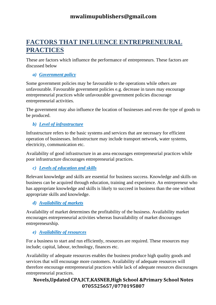# **FACTORS THAT INFLUENCE ENTREPRENEURAL PRACTICES**

These are factors which influence the performance of entrepreneurs. These factors are discussed below

#### *a) Government policy*

Some government policies may be favourable to the operations while others are unfavourable. Favourable government policies e.g. decrease in taxes may encourage entrepreneurial practices while unfavourable government policies discourage entrepreneurial activities.

The government may also influence the location of businesses and even the type of goods to be produced.

#### *b) Level of infrastructure*

Infrastructure refers to the basic systems and services that are necessary for efficient operation of businesses. Infrastructure may include transport network, water systems, electricity, communication etc.

Availability of good infrastructure in an area encourages entrepreneurial practices while poor infrastructure discourages entrepreneurial practices.

*c) Levels of education and skills*

Relevant knowledge and skills are essential for business success. Knowledge and skills on business can be acquired through education, training and experience. An entrepreneur who has appropriate knowledge and skills is likely to succeed in business than the one without appropriate skills and knowledge.

#### *d) Availability of markets*

Availability of market determines the profitability of the business. Availability market encourages entrepreneurial activities whereas Inavailability of market discourages entrepreneurship.

#### *e) Availability of resources*

For a business to start and run efficiently, resources are required. These resources may include; capital, labour, technology, finances etc.

Availability of adequate resources enables the business produce high quality goods and services that will encourage more customers. Availability of adequate resources will therefore encourage entrepreneurial practices while lack of adequate resources discourages entrepreneurial practices.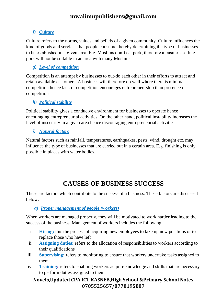# *f) Culture*

Culture refers to the norms, values and beliefs of a given community. Culture influences the kind of goods and services that people consume thereby determining the type of businesses to be established in a given area. E.g. Muslims don't eat pork, therefore a business selling pork will not be suitable in an area with many Muslims.

#### *g) Level of competition*

Competition is an attempt by businesses to out-do each other in their efforts to attract and retain available customers. A business will therefore do well where there is minimal competition hence lack of competition encourages entrepreneurship than presence of competition

#### *h) Political stability*

Political stability gives a conducive environment for businesses to operate hence encouraging entrepreneurial activities. On the other hand, political instability increases the level of insecurity in a given area hence discouraging entrepreneurial activities.

#### *i) Natural factors*

Natural factors such as rainfall, temperatures, earthquakes, pests, wind, drought etc. may influence the type of businesses that are carried out in a certain area. E.g. finishing is only possible in places with water bodies.

# **CAUSES OF BUSINESS SUCCESS**

These are factors which contribute to the success of a business. These factors are discussed below:

#### *a) Proper management of people (workers)*

When workers are managed properly, they will be motivated to work harder leading to the success of the business. Management of workers includes the following:

- i. **Hiring:** this the process of acquiring new employees to take up new positions or to replace those who have left
- ii. **Assigning duties:** refers to the allocation of responsibilities to workers according to their qualifications
- iii. **Supervising:** refers to monitoring to ensure that workers undertake tasks assigned to them
- iv. **Training:** refers to enabling workers acquire knowledge and skills that are necessary to perform duties assigned to them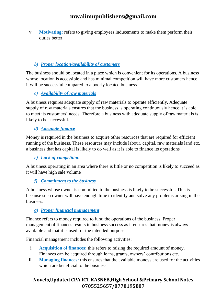v. **Motivating:** refers to giving employees inducements to make them perform their duties better.

#### *b) Proper location/availability of customers*

The business should be located in a place which is convenient for its operations. A business whose location is accessible and has minimal competition will have more customers hence it will be successful compared to a poorly located business

#### *c) Availability of raw materials*

A business requires adequate supply of raw materials to operate efficiently. Adequate supply of raw materials ensures that the business is operating continuously hence it is able to meet its customers' needs. Therefore a business with adequate supply of raw materials is likely to be successful.

#### *d) Adequate finance*

Money is required in the business to acquire other resources that are required for efficient running of the business. These resources may include labour, capital, raw materials land etc. a business that has capital is likely to do well as it is able to finance its operations

*e) Lack of competition*

A business operating in an area where there is little or no competition is likely to succeed as it will have high sale volume

#### *f) Commitment to the business*

A business whose owner is committed to the business is likely to be successful. This is because such owner will have enough time to identify and solve any problems arising in the business.

#### *g) Proper financial management*

Finance refers to money required to fund the operations of the business. Proper management of finances results in business success as it ensures that money is always available and that it is used for the intended purpose

Financial management includes the following activities:

- i. **Acquisition of finances:** this refers to raising the required amount of money. Finances can be acquired through loans, grants, owners' contributions etc.
- ii. **Managing finances:** this ensures that the available moneys are used for the activities which are beneficial to the business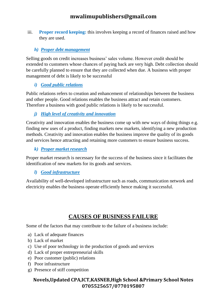iii. **Proper record keeping:** this involves keeping a record of finances raised and how they are used.

#### *h) Proper debt management*

Selling goods on credit increases business' sales volume. However credit should be extended to customers whose chances of paying back are very high. Debt collection should be carefully planned to ensure that they are collected when due. A business with proper management of debt is likely to be successful

#### *i) Good public relations*

Public relations refers to creation and enhancement of relationships between the business and other people. Good relations enables the business attract and retain customers. Therefore a business with good public relations is likely to be successful.

# *j) High level of creativity and innovation*

Creativity and innovation enables the business come up with new ways of doing things e.g. finding new uses of a product, finding markets new markets, identifying a new production methods. Creativity and innovation enables the business improve the quality of its goods and services hence attracting and retaining more customers to ensure business success.

*k) Proper market research*

Proper market research is necessary for the success of the business since it facilitates the identification of new markets for its goods and services.

#### *l) Good infrastructure*

Availability of well-developed infrastructure such as roads, communication network and electricity enables the business operate efficiently hence making it successful.

# **CAUSES OF BUSINESS FAILURE**

Some of the factors that may contribute to the failure of a business include:

- a) Lack of adequate finances
- b) Lack of market
- c) Use of poor technology in the production of goods and services
- d) Lack of proper entrepreneurial skills
- e) Poor customer (public) relations
- f) Poor infrastructure
- g) Presence of stiff competition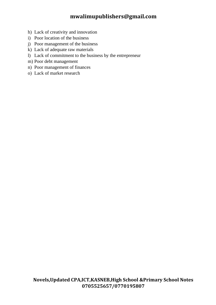- h) Lack of creativity and innovation
- i) Poor location of the business
- j) Poor management of the business
- k) Lack of adequate raw materials
- l) Lack of commitment to the business by the entrepreneur
- m) Poor debt management
- n) Poor management of finances
- o) Lack of market research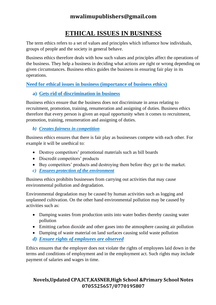# **ETHICAL ISSUES IN BUSINESS**

The term ethics refers to a set of values and principles which influence how individuals, groups of people and the society in general behave.

Business ethics therefore deals with how such values and principles affect the operations of the business. They help a business in deciding what actions are right or wrong depending on given circumstances. Business ethics guides the business in ensuring fair play in its operations.

#### **Need for ethical issues in business (importance of business ethics)**

#### **a) Gets rid of discrimination in business**

Business ethics ensure that the business does not discriminate in areas relating to recruitment, promotion, training, renumeration and assigning of duties. Business ethics therefore that every person is given an equal opportunity when it comes to recruitment, promotion, training, renumeration and assigning of duties.

#### *b) Creates fairness in competition*

Business ethics ensures that there is fair play as businesses compete with each other. For example it will be unethical to:

- Destroy competitors' promotional materials such as bill boards
- Discredit competitors' products
- Buy competitors' products and destroying them before they get to the market.
- *c) Ensures protection of the environment*

Business ethics prohibits businesses from carrying out activities that may cause environmental pollution and degradation.

Environmental degradation may be caused by human activities such as logging and unplanned cultivation. On the other hand environmental pollution may be caused by activities such as:

- Damping wastes from production units into water bodies thereby causing water pollution
- Emitting carbon dioxide and other gases into the atmosphere causing air pollution
- Damping of waste material on land surfaces causing solid waste pollution
- *d) Ensure rights of employees are observed*

Ethics ensures that the employer does not violate the rights of employees laid down in the terms and conditions of employment and in the employment act. Such rights may include payment of salaries and wages in time.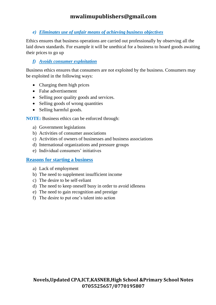#### *e) Eliminates use of unfair means of achieving business objectives*

Ethics ensures that business operations are carried out professionally by observing all the laid down standards. For example it will be unethical for a business to hoard goods awaiting their prices to go up

#### *f) Avoids consumer exploitation*

Business ethics ensures that consumers are not exploited by the business. Consumers may be exploited in the following ways:

- Charging them high prices
- False advertisement
- Selling poor quality goods and services.
- Selling goods of wrong quantities
- Selling harmful goods.

**NOTE:** Business ethics can be enforced through:

- a) Government legislations
- b) Activities of consumer associations
- c) Activities of owners of businesses and business associations
- d) International organizations and pressure groups
- e) Individual consumers' initiatives

#### **Reasons for starting a business**

- a) Lack of employment
- b) The need to supplement insufficient income
- c) The desire to be self-reliant
- d) The need to keep oneself busy in order to avoid idleness
- e) The need to gain recognition and prestige
- f) The desire to put one's talent into action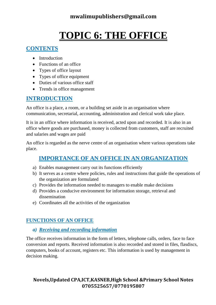# **TOPIC 6: THE OFFICE**

# **CONTENTS**

- Introduction
- Functions of an office
- Types of office layout
- Types of office equipment
- Duties of various office staff
- Trends in office management

# **INTRODUCTION**

An office is a place, a room, or a building set aside in an organisation where communication, secretarial, accounting, administration and clerical work take place.

It is in an office where information is received, acted upon and recorded. It is also in an office where goods are purchased, money is collected from customers, staff are recruited and salaries and wages are paid

An office is regarded as the nerve centre of an organisation where various operations take place.

# **IMPORTANCE OF AN OFFICE IN AN ORGANIZATION**

- a) Enables management carry out its functions efficiently
- b) It serves as a centre where policies, rules and instructions that guide the operations of the organization are formulated
- c) Provides the information needed to managers to enable make decisions
- d) Provides a conducive environment for information storage, retrieval and dissemination
- e) Coordinates all the activities of the organization

# **FUNCTIONS OF AN OFFICE**

#### *a) Receiving and recording information*

The office receives information in the form of letters, telephone calls, orders, face to face conversion and reports. Received information is also recorded and stored in files, flasdiscs, computers, books of account, registers etc. This information is used by management in decision making.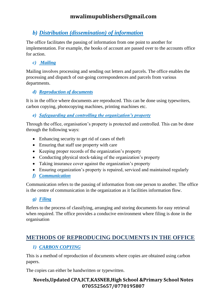# *b) Distribution (dissemination) of information*

The office facilitates the passing of information from one point to another for implementation. For example, the books of account are passed over to the accounts office for action.

#### *c) Mailing*

Mailing involves processing and sending out letters and parcels. The office enables the processing and dispatch of out-going correspondences and parcels from various departments.

#### *d) Reproduction of documents*

It is in the office where documents are reproduced. This can be done using typewriters, carbon copying, photocopying machines, printing machines etc.

*e) Safeguarding and controlling the organization's property*

Through the office, organisation's property is protected and controlled. This can be done through the following ways:

- Enhancing security to get rid of cases of theft
- Ensuring that staff use property with care
- Keeping proper records of the organization's property
- Conducting physical stock-taking of the organization's property
- Taking insurance cover against the organization's property
- Ensuring organization's property is repaired, serviced and maintained regularly
- *f) Communication*

Communication refers to the passing of information from one person to another. The office is the centre of communication in the organization as it facilities information flow.

# *g) Filing*

Refers to the process of classifying, arranging and storing documents for easy retrieval when required. The office provides a conducive environment where filing is done in the organisation

# **METHODS OF REPRODUCING DOCUMENTS IN THE OFFICE**

# *1) CARBON COPYING*

This is a method of reproduction of documents where copies are obtained using carbon papers.

The copies can either be handwritten or typewritten.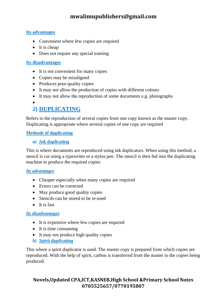#### **Its advantages**

- Convenient where few copies are required
- It is cheap
- Does not require any special training

#### **Its disadvantages**

- It is not convenient for many copies
- Copies may be misaligned
- Produces poor quality copies
- It may not allow the production of copies with different colours
- It may not allow the reproduction of some documents e.g. photographs
- •

# **2) DUPLICATING**

Refers to the reproduction of several copies from one copy known as the master copy. Duplicating is appropriate where several copies of one copy are required

#### **Methods of duplicating**

#### *a) Ink duplicating*

This is where documents are reproduced using ink duplicators. When using this method, a stencil is cut using a typewriter or a stylus pen. The stencil is then fed into the duplicating machine to produce the required copies

#### *Its advantages*

- Cheaper especially when many copies are required
- Errors can be corrected
- May produce good quality copies
- Stencils can be stored to be re-used
- It is fast

#### *Its disadvantages*

- It is expensive where few copies are required
- It is time consuming
- It may not produce high quality copies
- *b) Spirit duplicating*

This where a spirit duplicator is used. The master copy is prepared from which copies are reproduced. With the help of spirit, carbon is transferred from the master to the copies being produced.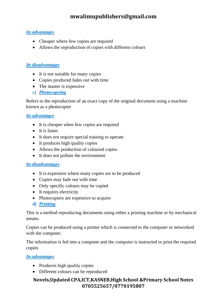#### *Its advantages*

- Cheaper where few copies are required
- Allows the reproduction of copies with different colours

#### *Its disadvantages*

- It is not suitable for many copies
- Copies produced fades out with time
- The master is expensive
- *c) Photocopying*

Refers to the reproduction of an exact copy of the original document using a machine known as a photocopier

#### *Its advantages*

- It is cheaper when few copies are required
- It is faster
- It does not require special training to operate
- It produces high quality copies
- Allows the production of coloured copies
- It does not pollute the environment

#### *Its disadvantages*

- It is expensive where many copies are to be produced
- Copies may fade out with time
- Only specific colours may be copied
- It requires electricity
- Photocopiers are expensive to acquire
- *d) Printing*

This is a method reproducing documents using either a printing machine or by mechanical means.

Copies can be produced using a printer which is connected to the computer or networked with the computer.

The information is fed into a computer and the computer is instructed to print the required copies

#### *Its advantages*

- Produces high quality copies
- Different colours can be reproduced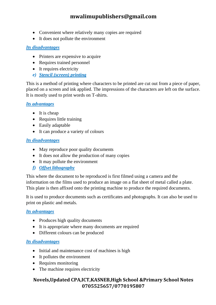- Convenient where relatively many copies are required
- It does not pollute the environment

#### *Its disadvantages*

- Printers are expensive to acquire
- Requires trained personnel
- It requires electricity
- *e) Stencil (screen) printing*

This is a method of printing where characters to be printed are cut out from a piece of paper, placed on a screen and ink applied. The impressions of the characters are left on the surface. It is mostly used to print words on T-shirts.

#### *Its advantages*

- It is cheap
- Requires little training
- Easily adaptable
- It can produce a variety of colours

#### *Its disadvantages*

- May reproduce poor quality documents
- It does not allow the production of many copies
- It may pollute the environment
- *f) Offset lithography*

This where the document to be reproduced is first filmed using a camera and the information on the films used to produce an image on a flat sheet of metal called a plate. This plate is then affixed onto the printing machine to produce the required documents.

It is used to produce documents such as certificates and photographs. It can also be used to print on plastic and metals.

#### *Its advantages*

- Produces high quality documents
- It is appropriate where many documents are required
- Different colours can be produced

#### *Its disadvantages*

- Initial and maintenance cost of machines is high
- It pollutes the environment
- Requires monitoring
- The machine requires electricity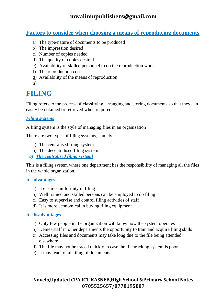# **Factors to consider when choosing a means of reproducing documents**

- a) The type/nature of documents to be produced
- b) The impression desired
- c) Number of copies needed
- d) The quality of copies desired
- e) Availability of skilled personnel to do the reproduction work
- f) The reproduction cost
- g) Availability of the means of reproduction

h)

# **FILING**

Filing refers to the process of classifying, arranging and storing documents so that they can easily be obtained or retrieved when required.

#### *Filing systems*

A filing system is the style of managing files in an organization

There are two types of filing systems, namely:

- a) The centralised filing system
- b) The decentralised filing system
- *a) The centralised filing system]*

This is a filing system where one department has the responsibility of managing all the files in the whole organization.

#### **Its advantages**

- a) It ensures uniformity in filing
- b) Well trained and skilled persons can be employed to do filing
- c) Easy to supervise and control filing activities of staff
- d) It is more economical in buying filing equipment

#### **Its disadvantages**

- a) Only few people in the organization will know how the system operates
- b) Denies staff in other departments the opportunity to train and acquire filing skills
- c) Accessing files and documents may take long due to the file being attended elsewhere
- d) The file may not be traced quickly in case the file tracking system is poor
- e) It may lead to misfiling of documents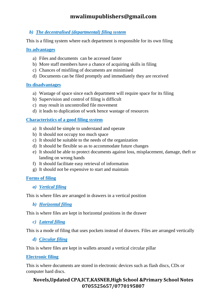#### *b) The decentralised (departmental) filing system*

This is a filing system where each department is responsible for its own filing

#### **Its advantages**

- a) Files and documents can be accessed faster
- b) More staff members have a chance of acquiring skills in filing
- c) Chances of misfiling of documents are minimised
- d) Documents can be filed promptly and immediately they are received

#### **Its disadvantages**

- a) Wastage of space since each department will require space for its filing
- b) Supervision and control of filing is difficult
- c) may result in uncontrolled file movement
- d) it leads to duplication of work hence wastage of resources

#### **Characteristics of a good filing system**

- a) It should be simple to understand and operate
- b) It should not occupy too much space
- c) It should be suitable to the needs of the organization
- d) It should be flexible so as to accommodate future changes
- e) It should be able to protect documents against loss, misplacement, damage, theft or landing on wrong hands
- f) It should facilitate easy retrieval of information
- g) It should not be expensive to start and maintain

#### **Forms of filing**

*a) Vertical filing*

This is where files are arranged in drawers in a vertical position

*b) Horizontal filing*

This is where files are kept in horizontal positions in the drawer

*c) Lateral filing*

This is a mode of filing that uses pockets instead of drawers. Files are arranged vertically

*d) Circular filing*

This is where files are kept in wallets around a vertical circular pillar

#### **Electronic filing**

This is where documents are stored in electronic devices such as flash discs, CDs or computer hard discs.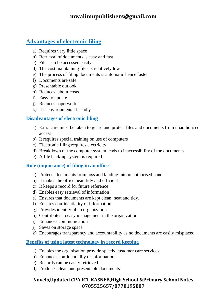# **Advantages of electronic filing**

- a) Requires very little space
- b) Retrieval of documents is easy and fast
- c) Files can be accessed easily
- d) The cost maintaining files is relatively low
- e) The process of filing documents is automatic hence faster
- f) Documents are safe
- g) Presentable outlook
- h) Reduces labour costs
- i) Easy to update
- j) Reduces paperwork
- k) It is environmental friendly

#### **Disadvantages of electronic filing**

- a) Extra care must be taken to guard and protect files and documents from unauthorised access
- b) It requires special training on use of computers
- c) Electronic filing requires electricity
- d) Breakdown of the computer system leads to inaccessibility of the documents
- e) A file back-up system is required

#### **Role (importance) of filing in an office**

- a) Protects documents from loss and landing into unauthorised hands
- b) It makes the office neat, tidy and efficient
- c) It keeps a record for future reference
- d) Enables easy retrieval of information
- e) Ensures that documents are kept clean, neat and tidy.
- f) Ensures confidentiality of information
- g) Provides identity of an organization
- h) Contributes to easy management in the organization
- i) Enhances communication
- j) Saves on storage space
- k) Encourages transparency and accountability as no documents are easily misplaced

#### **Benefits of using latest technology in record keeping**

- a) Enables the organisation provide speedy customer care services
- b) Enhances confidentiality of information
- c) Records can be easily retrieved
- d) Produces clean and presentable documents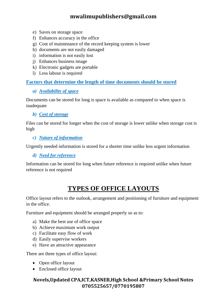- e) Saves on storage space
- f) Enhances accuracy in the office
- g) Cost of maintenance of the record keeping system is lower
- h) documents are not easily damaged
- i) information is not easily lost
- j) Enhances business image
- k) Electronic gadgets are portable
- l) Less labour is required

#### **Factors that determine the length of time documents should be stored**

#### *a) Availability of space*

Documents can be stored for long is space is available as compared to when space is inadequate

#### *b) Cost of storage*

Files can be stored for longer when the cost of storage is lower unlike when storage cost is high

#### *c) Nature of information*

Urgently needed information is stored for a shorter time unlike less urgent information

*d) Need for reference*

Information can be stored for long when future reference is required unlike when future reference is not required

# **TYPES OF OFFICE LAYOUTS**

Office layout refers to the outlook, arrangement and positioning of furniture and equipment in the office.

Furniture and equipment should be arranged properly so as to:

- a) Make the best use of office space
- b) Achieve maximum work output
- c) Facilitate easy flow of work
- d) Easily supervise workers
- e) Have an attractive appearance

There are three types of office layout:

- Open office layout
- Enclosed office layout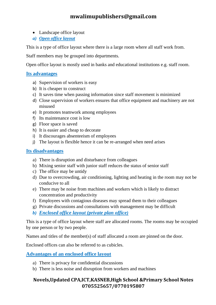- Landscape office layout
- *a) Open office layout*

This is a type of office layout where there is a large room where all staff work from.

Staff members may be grouped into departments.

Open office layout is mostly used in banks and educational institutions e.g. staff room.

#### **Its advantages**

- a) Supervision of workers is easy
- b) It is cheaper to construct
- c) It saves time when passing information since staff movement is minimized
- d) Close supervision of workers ensures that office equipment and machinery are not misused
- e) It promotes teamwork among employees
- f) Its maintenance cost is low
- g) Floor space is saved
- h) It is easier and cheap to decorate
- i) It discourages absenteeism of employees
- j) The layout is flexible hence it can be re-arranged when need arises

#### **Its disadvantages**

- a) There is disruption and disturbance from colleagues
- b) Mixing senior staff with junior staff reduces the status of senior staff
- c) The office may be untidy
- d) Due to overcrowding, air conditioning, lighting and heating in the room may not be conducive to all
- e) There may be noise from machines and workers which is likely to distract concentration and productivity
- f) Employees with contagious diseases may spread them to their colleagues
- g) Private discussions and consultations with management may be difficult
- *b) Enclosed office layout (private plan office)*

This is a type of office layout where staff are allocated rooms. The rooms may be occupied by one person or by two people.

Names and titles of the member(s) of staff allocated a room are pinned on the door.

Enclosed offices can also be referred to as cubicles.

**Advantages of an enclosed office layout**

- a) There is privacy for confidential discussions
- b) There is less noise and disruption from workers and machines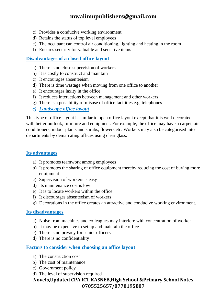- c) Provides a conducive working environment
- d) Retains the status of top level employees
- e) The occupant can control air conditioning, lighting and heating in the room
- f) Ensures security for valuable and sensitive items

#### **Disadvantages of a closed office layout**

- a) There is no close supervision of workers
- b) It is costly to construct and maintain
- c) It encourages absenteeism
- d) There is time wastage when moving from one office to another
- e) It encourages laxity in the office
- f) It reduces interactions between management and other workers
- g) There is a possibility of misuse of office facilities e.g. telephones
- *c) Landscape office layout*

This type of office layout is similar to open office layout except that it is well decorated with better outlook, furniture and equipment. For example, the office may have a carpet, air conditioners, indoor plants and shrubs, flowers etc. Workers may also be categorised into departments by demarcating offices using clear glass.

#### **Its advantages**

- a) It promotes teamwork among employees
- b) It promotes the sharing of office equipment thereby reducing the cost of buying more equipment
- c) Supervision of workers is easy
- d) Its maintenance cost is low
- e) It is to locate workers within the office
- f) It discourages absenteeism of workers
- g) Decorations in the office creates an attractive and conducive working environment.

#### **Its disadvantages**

- a) Noise from machines and colleagues may interfere with concentration of worker
- b) It may be expensive to set up and maintain the office
- c) There is no privacy for senior officers
- d) There is no confidentiality

#### **Factors to consider when choosing an office layout**

- a) The construction cost
- b) The cost of maintenance
- c) Government policy
- d) The level of supervision required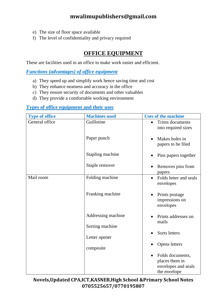- e) The size of floor space available
- f) The level of confidentiality and privacy required

# **OFFICE EQUIPMENT**

These are facilities used in an office to make work easier and efficient.

*Functions (advantages) of office equipment*

- a) They speed up and simplify work hence saving time and cost
- b) They enhance neatness and accuracy in the office
- c) They ensure security of documents and other valuables
- d) They provide a comfortable working environment

#### **Types of office equipment and their uses**

| <b>Type of office</b> | <b>Machines used</b> | <b>Uses of the machine</b>                                                |  |
|-----------------------|----------------------|---------------------------------------------------------------------------|--|
| General office        | Guillotine           | Trims documents<br>$\bullet$<br>into required sizes                       |  |
|                       | Paper punch          | Makes holes in<br>papers to be filed                                      |  |
|                       | Stapling machine     | Pins papers together                                                      |  |
|                       | Staple remover       | Removes pins from<br>papers                                               |  |
| Mail room             | Folding machine      | Folds letter and seals<br>$\bullet$<br>envelopes                          |  |
|                       | Franking machine     | Prints postage<br>impressions on<br>envelopes                             |  |
|                       | Addressing machine   | Prints addresses on<br>mails                                              |  |
|                       | Sorting machine      |                                                                           |  |
|                       | Letter opener        | Sorts letters                                                             |  |
|                       | composite            | Opens letters                                                             |  |
|                       |                      | Folds documents,<br>places them in<br>envelopes and seals<br>the envelope |  |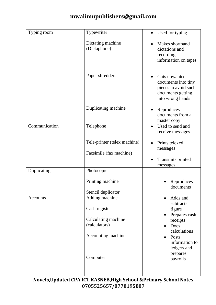| Typing room   | Typewriter                                              | Used for typing<br>$\bullet$                                                                          |
|---------------|---------------------------------------------------------|-------------------------------------------------------------------------------------------------------|
|               | Dictating machine<br>(Dictaphone)                       | Makes shorthand<br>dictations and<br>recording<br>information on tapes                                |
|               | Paper shredders                                         | Cuts unwanted<br>documents into tiny<br>pieces to avoid such<br>documents getting<br>into wrong hands |
|               | Duplicating machine                                     | Reproduces<br>documents from a<br>master copy                                                         |
| Communication | Telephone                                               | Used to send and<br>$\bullet$<br>receive messages                                                     |
|               | Tele-printer (telex machine)<br>Facsimile (fax machine) | Prints telexed<br>messages                                                                            |
|               |                                                         | Transmits printed<br>messages                                                                         |
| Duplicating   | Photocopier                                             |                                                                                                       |
|               | Printing machine                                        | Reproduces<br>documents                                                                               |
|               | Stencil duplicator                                      |                                                                                                       |
| Accounts      | Adding machine                                          | Adds and<br>$\bullet$<br>subtracts                                                                    |
|               | Cash register                                           | figure<br>Prepares cash                                                                               |
|               | Calculating machine                                     | receipts                                                                                              |
|               | (calculators)                                           | Does<br>calculations                                                                                  |
|               | Accounting machine                                      | Posts<br>information to                                                                               |
|               | Computer                                                | ledgers and<br>prepares<br>payrolls                                                                   |
|               |                                                         |                                                                                                       |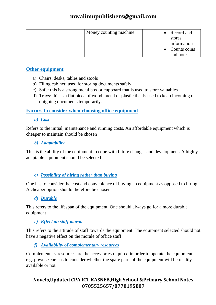| Money counting machine | • Record and                        |
|------------------------|-------------------------------------|
|                        | stores<br>information               |
|                        | $\bullet$ Counts coins<br>and notes |

#### **Other equipment**

- a) Chairs, desks, tables and stools
- b) Filing cabinet: used for storing documents safely
- c) Safe: this is a strong metal box or cupboard that is used to store valuables
- d) Trays: this is a flat piece of wood, metal or plastic that is used to keep incoming or outgoing documents temporarily.

#### **Factors to consider when choosing office equipment**

*a) Cost*

Refers to the initial, maintenance and running costs. An affordable equipment which is cheaper to maintain should be chosen

#### *b) Adaptability*

This is the ability of the equipment to cope with future changes and development. A highly adaptable equipment should be selected

# *c) Possibility of hiring rather than buying*

One has to consider the cost and convenience of buying an equipment as opposed to hiring. A cheaper option should therefore be chosen

#### *d) Durable*

This refers to the lifespan of the equipment. One should always go for a more durable equipment

#### *e) Effect on staff morale*

This refers to the attitude of staff towards the equipment. The equipment selected should not have a negative effect on the morale of office staff

#### *f) Availability of complementary resources*

Complementary resources are the accessories required in order to operate the equipment e.g. power. One has to consider whether the spare parts of the equipment will be readily available or not.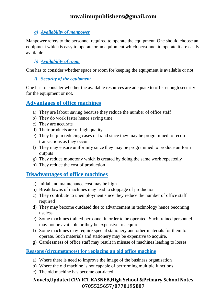#### *g) Availability of manpower*

Manpower refers to the personnel required to operate the equipment. One should choose an equipment which is easy to operate or an equipment which personnel to operate it are easily available

#### *h) Availability of room*

One has to consider whether space or room for keeping the equipment is available or not.

#### *i) Security of the equipment*

One has to consider whether the available resources are adequate to offer enough security for the equipment or not.

#### **Advantages of office machines**

- a) They are labour saving because they reduce the number of office staff
- b) They do work faster hence saving time
- c) They are accurate
- d) Their products are of high quality
- e) They help in reducing cases of fraud since they may be programmed to record transactions as they occur
- f) They may ensure uniformity since they may be programmed to produce uniform outputs
- g) They reduce monotony which is created by doing the same work repeatedly
- h) They reduce the cost of production

# **Disadvantages of office machines**

- a) Initial and maintenance cost may be high
- b) Breakdowns of machines may lead to stoppage of production
- c) They contribute to unemployment since they reduce the number of office staff required
- d) They may become outdated due to advancement in technology hence becoming useless
- e) Some machines trained personnel in order to be operated. Such trained personnel may not be available or they be expensive to acquire
- f) Some machines may require special stationery and other materials for them to operate. Such materials and stationery may be expensive to acquire.
- g) Carelessness of office staff may result in misuse of machines leading to losses

#### **Reasons (circumstances) for replacing an old office machine**

- a) Where there is need to improve the image of the business organisation
- b) Where the old machine is not capable of performing multiple functions
- c) The old machine has become out-dated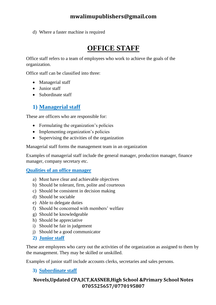d) Where a faster machine is required

# **OFFICE STAFF**

Office staff refers to a team of employees who work to achieve the goals of the organization.

Office staff can be classified into three:

- Managerial staff
- Junior staff
- Subordinate staff

# **1) Managerial staff**

These are officers who are responsible for:

- Formulating the organization's policies
- Implementing organization's policies
- Supervising the activities of the organization

Managerial staff forms the management team in an organization

Examples of managerial staff include the general manager, production manager, finance manager, company secretary etc.

#### **Qualities of an office manager**

- a) Must have clear and achievable objectives
- b) Should be tolerant, firm, polite and courteous
- c) Should be consistent in decision making
- d) Should be sociable
- e) Able to delegate duties
- f) Should be concerned with members' welfare
- g) Should be knowledgeable
- h) Should be appreciative
- i) Should be fair in judgement
- j) Should be a good communicator
- **2) Junior staff**

These are employees who carry out the activities of the organization as assigned to them by the management. They may be skilled or unskilled.

Examples of junior staff include accounts clerks, secretaries and sales persons.

#### **3) Subordinate staff**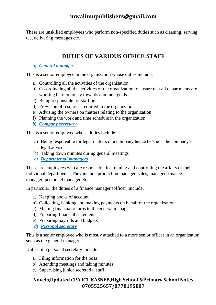These are unskilled employees who perform non-specified duties such as cleaning, serving tea, delivering messages etc.

# **DUTIES OF VARIOUS OFFICE STAFF**

#### *a) General manager*

This is a senior employee in the organization whose duties include:

- a) Controlling all the activities of the organisation
- b) Co-ordinating all the activities of the organization to ensure that all departments are working harmoniously towards common goals
- c) Being responsible for staffing
- d) Provision of resources required in the organization
- e) Advising the owners on matters relating to the organization
- f) Planning the work and time schedule in the organization
- *b) Company secretary*

This is a senior employee whose duties include:

- a) Being responsible for legal matters of a company hence he/she is the company's legal advisor
- b) Taking down minutes during general meetings
- *c) Departmental managers*

These are employees who are responsible for running and controlling the affairs of their individual departments. They include production manager, sales, manager, finance manager, personnel manager etc.

In particular, the duties of a finance manager (officer) include:

- a) Keeping books of account
- b) Collecting, banking and making payments on behalf of the organization
- c) Making financial returns to the general manager
- d) Preparing financial statements
- e) Preparing payrolls and budgets
- *d) Personal secretary*

This is a senior employee who is mostly attached to a more senior officer in an organization such as the general manager.

Duties of a personal secretary include:

- a) Filing information for the boss
- b) Attending meetings and taking minutes
- c) Supervising junior secretarial staff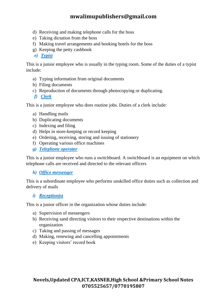- d) Receiving and making telephone calls for the boss
- e) Taking dictation from the boss
- f) Making travel arrangements and booking hotels for the boss
- g) Keeping the petty cashbook
- *e) Typist*

This is a junior employee who is usually in the typing room. Some of the duties of a typist include:

- a) Typing information from original documents
- b) Filing documents
- c) Reproduction of documents through photocopying or duplicating.
- *f) Clerk*

This is a junior employee who does routine jobs. Duties of a clerk include:

- a) Handling mails
- b) Duplicating documents
- c) Indexing and filing
- d) Helps in store-keeping or record keeping
- e) Ordering, receiving, storing and issuing of stationery
- f) Operating various office machines
- *g) Telephone operator*

This is a junior employee who runs a switchboard. A switchboard is an equipment on which telephone calls are received and directed to the relevant officers

#### *h) Office messenger*

This is a subordinate employee who performs unskilled office duties such as collection and delivery of mails

#### *i) Receptionist*

This is a junior officer in the organization whose duties include:

- a) Supervision of messengers
- b) Receiving sand directing visitors to their respective destinations within the organization
- c) Taking and passing of messages
- d) Making, renewing and cancelling appointments
- e) Keeping visitors' record book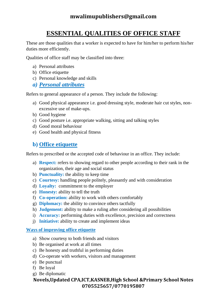# **ESSENTIAL QUALITIES OF OFFICE STAFF**

These are those qualities that a worker is expected to have for him/her to perform his/her duties more efficiently.

Qualities of office staff may be classified into three:

- a) Personal attributes
- b) Office etiquette
- c) Personal knowledge and skills
- *a) Personal attributes*

Refers to general appearance of a person. They include the following:

- a) Good physical appearance i.e. good dressing style, moderate hair cut styles, nonexcessive use of make-ups.
- b) Good hygiene
- c) Good posture i.e. appropriate walking, sitting and talking styles
- d) Good moral behaviour
- e) Good health and physical fitness

# **b) Office etiquette**

Refers to prescribed or the accepted code of behaviour in an office. They include:

- a) **Respect:** refers to showing regard to other people according to their rank in the organization, their age and social status
- b) **Punctuality:** the ability to keep time
- c) **Courtesy:** handling people politely, pleasantly and with consideration
- d) **Loyalty:** commitment to the employer
- e) **Honesty:** ability to tell the truth
- f) **Co-operation:** ability to work with others comfortably
- g) **Diplomacy:** the ability to convince others tactfully
- h) **Judgement:** ability to make a ruling after considering all possibilities
- i) **Accuracy:** performing duties with excellence, precision and correctness
- j) **Initiative:** ability to create and implement ideas

#### **Ways of improving office etiquette**

- a) Show courtesy to both friends and visitors
- b) Be organised at work at all times
- c) Be honesty and truthful in performing duties
- d) Co-operate with workers, visitors and management
- e) Be punctual
- f) Be loyal
- g) Be diplomatic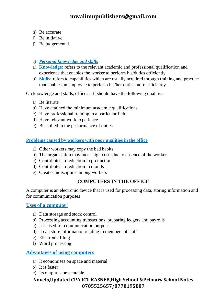- h) Be accurate
- i) Be initiative
- j) Be judgemental.
- *c) Personal knowledge and skills*
- a) **Knowledge:** refers to the relevant academic and professional qualification and experience that enables the worker to perform his/duties efficiently
- b) **Skills:** refers to capabilities which are usually acquired through training and practice that enables an employee to perform his/her duties more efficiently.

On knowledge and skills, office staff should have the following qualities

- a) Be literate
- b) Have attained the minimum academic qualifications
- c) Have professional training in a particular field
- d) Have relevant work experience
- e) Be skilled in the performance of duties

#### **Problems caused by workers with poor qualities in the office**

- a) Other workers may copy the bad habits
- b) The organisation may incur high costs due to absence of the worker
- c) Contributes to reduction in production
- d) Contributes to reduction in morals
- e) Creates indiscipline among workers

#### **COMPUTERS IN THE OFFICE**

A computer is an electronic device that is used for processing data, storing information and for communication purposes

#### **Uses of a computer**

- a) Data storage and stock control
- b) Processing accounting transactions, preparing ledgers and payrolls
- c) It is used for communication purposes
- d) It can store information relating to members of staff
- e) Electronic filing
- f) Word processing

#### **Advantages of using computers**

- a) It economises on space and material
- b) It is faster
- c) Its output is presentable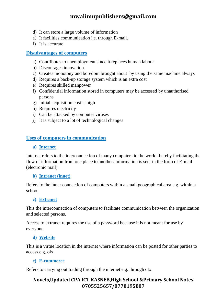- d) It can store a large volume of information
- e) It facilities communication i.e. through E-mail.
- f) It is accurate

#### **Disadvantages of computers**

- a) Contributes to unemployment since it replaces human labour
- b) Discourages innovation
- c) Creates monotony and boredom brought about by using the same machine always
- d) Requires a back-up storage system which is an extra cost
- e) Requires skilled manpower
- f) Confidential information stored in computers may be accessed by unauthorised persons
- g) Initial acquisition cost is high
- h) Requires electricity
- i) Can be attacked by computer viruses
- j) It is subject to a lot of technological changes

#### **Uses of computers in communication**

#### **a) Internet**

Internet refers to the interconnection of many computers in the world thereby facilitating the flow of information from one place to another. Information is sent in the form of E-mail (electronic mail)

#### **b) Intranet (innet)**

Refers to the inner connection of computers within a small geographical area e.g. within a school

#### **c) Extranet**

This the interconnection of computers to facilitate communication between the organization and selected persons.

Access to extranet requires the use of a password because it is not meant for use by everyone

#### **d) Website**

This is a virtue location in the internet where information can be posted for other parties to access e.g. olx.

#### **e) E-commerce**

Refers to carrying out trading through the internet e.g. through olx.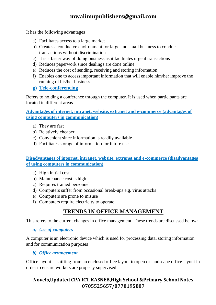It has the following advantages

- a) Facilitates access to a large market
- b) Creates a conducive environment for large and small business to conduct transactions without discrimination
- c) It is a faster way of doing business as it facilitates urgent transactions
- d) Reduces paperwork since dealings are done online
- e) Reduces the cost of sending, receiving and storing information
- f) Enables one to access important information that will enable him/her improve the running of his/her business

#### **g) Tele-conferencing**

Refers to holding a conference through the computer. It is used when participants are located in different areas

**Advantages of internet, intranet, website, extranet and e-commerce (advantages of using computers in communication)**

- a) They are fast
- b) Relatively cheaper
- c) Convenient since information is readily available
- d) Facilitates storage of information for future use

**Disadvantages of internet, intranet, website, extranet and e-commerce (disadvantages of using computers in communication)** 

- a) High initial cost
- b) Maintenance cost is high
- c) Requires trained personnel
- d) Computers suffer from occasional break-ups e.g. virus attacks
- e) Computers are prone to misuse
- f) Computers require electricity to operate

# **TRENDS IN OFFICE MANAGEMENT**

This refers to the current changes in office management. These trends are discussed below:

#### *a) Use of computers*

A computer is an electronic device which is used for processing data, storing information and for communication purposes

*b) Office arrangement*

Office layout is shifting from an enclosed office layout to open or landscape office layout in order to ensure workers are properly supervised.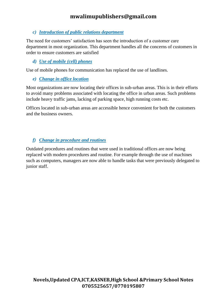#### *c) Introduction of public relations department*

The need for customers' satisfaction has seen the introduction of a customer care department in most organization. This department handles all the concerns of customers in order to ensure customers are satisfied

#### *d) Use of mobile (cell) phones*

Use of mobile phones for communication has replaced the use of landlines.

*e) Change in office location*

Most organizations are now locating their offices in sub-urban areas. This is in their efforts to avoid many problems associated with locating the office in urban areas. Such problems include heavy traffic jams, lacking of parking space, high running costs etc.

Offices located in sub-urban areas are accessible hence convenient for both the customers and the business owners.

#### *f) Change in procedure and routines*

Outdated procedures and routines that were used in traditional offices are now being replaced with modern procedures and routine. For example through the use of machines such as computers, managers are now able to handle tasks that were previously delegated to junior staff.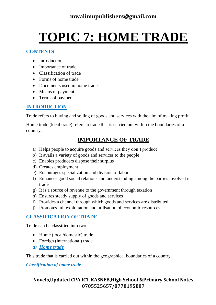# **TOPIC 7: HOME TRADE**

#### **CONTENTS**

- Introduction
- Importance of trade
- Classification of trade
- Forms of home trade
- Documents used in home trade
- Means of payment
- Terms of payment

# **INTRODUCTION**

Trade refers to buying and selling of goods and services with the aim of making profit.

Home trade (local trade) refers to trade that is carried out within the boundaries of a country.

# **IMPORTANCE OF TRADE**

- a) Helps people to acquire goods and services they don't produce.
- b) It avails a variety of goods and services to the people
- c) Enables producers dispose their surplus
- d) Creates employment
- e) Encourages specialization and division of labour
- f) Enhances good social relations and understanding among the parties involved in trade
- g) It is a source of revenue to the government through taxation
- h) Ensures steady supply of goods and services
- i) Provides a channel through which goods and services are distributed
- j) Promotes full exploitation and utilisation of economic resources.

# **CLASSIFICATION OF TRADE**

Trade can be classified into two:

- Home (local/domestic) trade
- Foreign (international) trade
- *a) Home trade*

This trade that is carried out within the geographical boundaries of a country.

*Classification of home trade*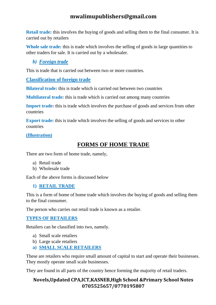**Retail trade:** this involves the buying of goods and selling them to the final consumer. It is carried out by retailers

**Whole sale trade:** this is trade which involves the selling of goods in large quantities to other traders for sale. It is carried out by a wholesaler.

*b) Foreign trade*

This is trade that is carried out between two or more countries.

#### **Classification of foreign trade**

**Bilateral trade:** this is trade which is carried out between two countries

**Multilateral trade:** this is trade which is carried out among many countries

**Import trade:** this is trade which involves the purchase of goods and services from other countries

**Export trade:** this is trade which involves the selling of goods and services to other countries

#### **(Illustration)**

# **FORMS OF HOME TRADE**

There are two form of home trade, namely,

- a) Retail trade
- b) Wholesale trade

Each of the above forms is discussed below

#### **1) RETAIL TRADE**

This is a form of home of home trade which involves the buying of goods and selling them to the final consumer.

The person who carries out retail trade is known as a retailer.

#### **TYPES OF RETAILERS**

Retailers can be classified into two, namely.

- a) Small scale retailers
- b) Large scale retailers
- **a) SMALL SCALE RETAILERS**

These are retailers who require small amount of capital to start and operate their businesses. They mostly operate small scale businesses.

They are found in all parts of the country hence forming the majority of retail traders.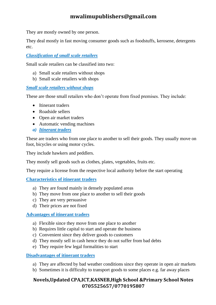They are mostly owned by one person.

They deal mostly in fast moving consumer goods such as foodstuffs, kerosene, detergents etc.

### *Classification of small scale retailers*

Small scale retailers can be classified into two:

- a) Small scale retailers without shops
- b) Small scale retailers with shops

### *Small scale retailers without shops*

These are those small retailers who don't operate from fixed premises. They include:

- Itinerant traders
- Roadside sellers
- Open air market traders
- Automatic vending machines
- *a) Itinerant traders*

These are traders who from one place to another to sell their goods. They usually move on foot, bicycles or using motor cycles.

They include hawkers and peddlers.

They mostly sell goods such as clothes, plates, vegetables, fruits etc.

They require a license from the respective local authority before the start operating

### **Characteristics of itinerant traders**

- a) They are found mainly in densely populated areas
- b) They move from one place to another to sell their goods
- c) They are very persuasive
- d) Their prices are not fixed

### **Advantages of itinerant traders**

- a) Flexible since they move from one place to another
- b) Requires little capital to start and operate the business
- c) Convenient since they deliver goods to customers
- d) They mostly sell in cash hence they do not suffer from bad debts
- e) They require few legal formalities to start

### **Disadvantages of itinerant traders**

- a) They are affected by bad weather conditions since they operate in open air markets
- b) Sometimes it is difficulty to transport goods to some places e.g. far away places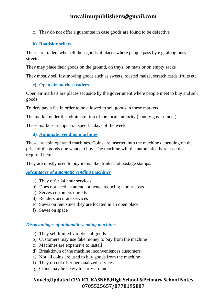c) They do not offer a guarantee in case goods are found to be defective

### **b) Roadside sellers**

These are traders who sell their goods at places where people pass by e.g. along busy streets.

They may place their goods on the ground, on trays, on mats or on empty sacks

They mostly sell fast moving goods such as sweets, roasted maize, scratch cards, fruits etc.

#### **c) Open air market traders**

Open air markets are places set aside by the government where people meet to buy and sell goods.

Traders pay a fee in order to be allowed to sell goods in these markets.

The market under the administration of the local authority (county government).

These markets are open on specific days of the week.

#### **d) Automatic vending machines**

These are coin operated machines. Coins are inserted into the machine depending on the price of the goods one wants to buy. The machine will the automatically release the required item.

They are mostly used to buy items like drinks and postage stamps.

#### *Advantages of automatic vending machines*

- a) They offer 24 hour services
- b) Does not need an attendant hence reducing labour costs
- c) Serves customers quickly
- d) Renders accurate services
- e) Saves on rent since they are located in an open place
- f) Saves on space

### *Disadvantages of automatic vending machines*

- a) They sell limited varieties of goods
- b) Customers may use fake money to buy from the machine
- c) Machines are expensive to install
- d) Breakdown of the machine inconveniences customers
- e) Not all coins are used to buy goods from the machine
- f) They do not offer personalized services
- g) Coins may be heavy to carry around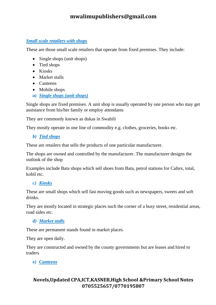#### *Small scale retailers with shops*

These are those small scale retailers that operate from fixed premises. They include:

- Single shops (unit shops)
- Tied shops
- Kiosks
- Market stalls
- Canteens
- Mobile shops
- *a) Single shops (unit shops)*

Single shops are fixed premises. A unit shop is usually operated by one person who may get assistance from his/her family or employ attendants

They are commonly known as dukas in Swahili

They mostly operate in one line of commodity e.g. clothes, groceries, books etc.

*b) Tied shops*

These are retailers that sells the products of one particular manufacturer.

The shops are owned and controlled by the manufacturer. The manufacturer designs the outlook of the shop

Examples include Bata shops which sell shoes from Bata, petrol stations for Caltex, total, kobil etc.

#### *c) Kiosks*

These are small shops which sell fast moving goods such as newspapers, sweets and soft drinks.

They are mostly located in strategic places such the corner of a busy street, residential areas, road sides etc.

#### *d) Market stalls*

These are permanent stands found in market places.

They are open daily.

They are constructed and owned by the county governments but are leases and hired to traders

*e) Canteens*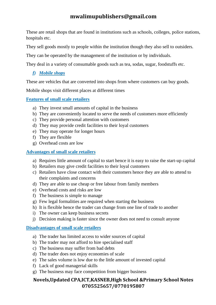These are retail shops that are found in institutions such as schools, colleges, police stations, hospitals etc.

They sell goods mostly to people within the institution though they also sell to outsiders.

They can be operated by the management of the institution or by individuals.

They deal in a variety of consumable goods such as tea, sodas, sugar, foodstuffs etc.

### *f) Mobile shops*

These are vehicles that are converted into shops from where customers can buy goods.

Mobile shops visit different places at different times

**Features of small scale retailers**

- a) They invest small amounts of capital in the business
- b) They are conveniently located to serve the needs of customers more efficiently
- c) They provide personal attention with customers
- d) They may provide credit facilities to their loyal customers
- e) They may operate for longer hours
- f) They are flexible
- g) Overhead costs are low

#### **Advantages of small scale retailers**

- a) Requires little amount of capital to start hence it is easy to raise the start-up capital
- b) Retailers may give credit facilities to their loyal customers
- c) Retailers have close contact with their customers hence they are able to attend to their complaints and concerns
- d) They are able to use cheap or free labour from family members
- e) Overhead costs and risks are low
- f) The business is simple to manage
- g) Few legal formalities are required when starting the business
- h) It is flexible hence the trader can change from one line of trade to another
- i) The owner can keep business secrets
- j) Decision making is faster since the owner does not need to consult anyone

### **Disadvantages of small scale retailers**

- a) The trader has limited access to wider sources of capital
- b) The trader may not afford to hire specialised staff
- c) The business may suffer from bad debts
- d) The trader does not enjoy economies of scale
- e) The sales volume is low due to the little amount of invested capital
- f) Lack of good managerial skills
- g) The business may face competition from bigger business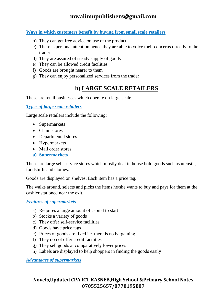### **Ways in which customers benefit by buying from small scale retailers**

- b) They can get free advice on use of the product
- c) There is personal attention hence they are able to voice their concerns directly to the trader
- d) They are assured of steady supply of goods
- e) They can be allowed credit facilities
- f) Goods are brought nearer to them
- g) They can enjoy personalized services from the trader

## **h) LARGE SCALE RETAILERS**

These are retail businesses which operate on large scale.

*Types of large scale retailers*

Large scale retailers include the following:

- Supermarkets
- Chain stores
- Departmental stores
- Hypermarkets
- Mail order stores
- **a) Supermarkets**

These are large self-service stores which mostly deal in house hold goods such as utensils, foodstuffs and clothes.

Goods are displayed on shelves. Each item has a price tag.

The walks around, selects and picks the items he/she wants to buy and pays for them at the cashier stationed near the exit.

### *Features of supermarkets*

- a) Requires a large amount of capital to start
- b) Stocks a variety of goods
- c) They offer self-service facilities
- d) Goods have price tags
- e) Prices of goods are fixed i.e. there is no bargaining
- f) They do not offer credit facilities
- g) They sell goods at comparatively lower prices
- h) Labels are displayed to help shoppers in finding the goods easily

*Advantages of supermarkets*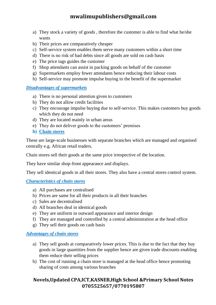- a) They stock a variety of goods , therefore the customer is able to find what he/she wants
- b) Their prices are comparatively cheaper
- c) Self-service system enables them serve many customers within a short time
- d) There is no risk of bad debts since all goods are sold on cash basis
- e) The price tags guides the customer
- f) Shop attendants can assist in packing goods on behalf of the customer
- g) Supermarkets employ fewer attendants hence reducing their labour costs
- h) Self-service may promote impulse buying to the benefit of the supermarket

### *Disadvantages of supermarkets*

- a) There is no personal attention given to customers
- b) They do not allow credit facilities
- c) They encourage impulse buying due to self-service. This makes customers buy goods which they do not need
- d) They are located mainly in urban areas
- e) They do not deliver goods to the customers' premises
- **b) Chain stores**

These are large-scale businesses with separate branches which are managed and organised centrally e.g. African retail traders.

Chain stores sell their goods at the same price irrespective of the location.

They have similar shop-front appearance and displays.

They sell identical goods in all their stores. They also have a central stores control system.

#### *Characteristics of chain stores*

- a) All purchases are centralised
- b) Prices are same for all their products in all their branches
- c) Sales are decentralised
- d) All branches deal in identical goods
- e) They are uniform in outward appearance and interior design
- f) They are managed and controlled by a central administration at the head office
- g) They sell their goods on cash basis

#### *Advantages of chain stores*

- a) They sell goods at comparatively lower prices. This is due to the fact that they buy goods in large quantities from the supplier hence are given trade discounts enabling them reduce their selling prices
- b) The cost of running a chain store is managed at the head office hence promoting sharing of costs among various branches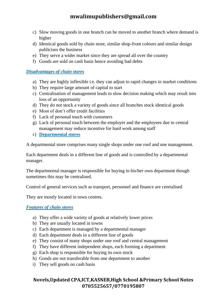- c) Slow moving goods in one branch can be moved to another branch where demand is higher
- d) Identical goods sold by chain store, similar shop-front colours and similar design publicises the business
- e) They serve a wider market since they are spread all over the country
- f) Goods are sold on cash basis hence avoiding bad debts

#### *Disadvantages of chain stores*

- a) They are highly inflexible i.e. they can adjust to rapid changes in market conditions
- b) They require large amount of capital to start
- c) Centralisation of management leads to slow decision making which may result into loss of an opportunity
- d) They do not stock a variety of goods since all branches stock identical goods
- e) Most of don't offer credit facilities
- f) Lack of personal touch with customers
- g) Lack of personal touch between the employer and the employees due to central management may reduce incentive for hard work among staff
- **c) Departmental stores**

A departmental store comprises many single shops under one roof and one management.

Each department deals in a different line of goods and is controlled by a departmental manager.

The departmental manager is responsible for buying in his/her own department though sometimes this may be centralised.

Control of general services such as transport, personnel and finance are centralised

They are mostly located in town centres.

#### *Features of chain stores*

- a) They offer a wide variety of goods at relatively lower prices
- b) They are usually located in towns
- c) Each department is managed by a departmental manager
- d) Each department deals in a different line of goods
- e) They consist of many shops under one roof and central management
- f) They have different independent shops, each forming a department
- g) Each shop is responsible for buying its own stock
- h) Goods are not transferable from one department to another
- i) They sell goods on cash basis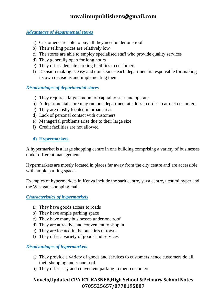#### *Advantages of departmental stores*

- a) Customers are able to buy all they need under one roof
- b) Their selling prices are relatively low
- c) The stores are able to employ specialised staff who provide quality services
- d) They generally open for long hours
- e) They offer adequate parking facilities to customers
- f) Decision making is easy and quick since each department is responsible for making its own decisions and implementing them

### *Disadvantages of departmental stores*

- a) They require a large amount of capital to start and operate
- b) A departmental store may run one department at a loss in order to attract customers
- c) They are mostly located in urban areas
- d) Lack of personal contact with customers
- e) Managerial problems arise due to their large size
- f) Credit facilities are not allowed

### **d) Hypermarkets**

A hypermarket is a large shopping centre in one building comprising a variety of businesses under different management.

Hypermarkets are mostly located in places far away from the city centre and are accessible with ample parking space.

Examples of hypermarkets in Kenya include the sarit centre, yaya centre, uchumi hyper and the Westgate shopping mall.

*Characteristics of hypermarkets*

- a) They have goods access to roads
- b) They have ample parking space
- c) They have many businesses under one roof
- d) They are attractive and convenient to shop in
- e) They are located in the outskirts of towns
- f) They offer a variety of goods and services

### *Disadvantages of hypermarkets*

- a) They provide a variety of goods and services to customers hence customers do all their shopping under one roof
- b) They offer easy and convenient parking to their customers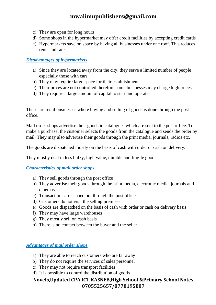- c) They are open for long hours
- d) Some shops in the hypermarket may offer credit facilities by accepting credit cards
- e) Hypermarkets save on space by having all businesses under one roof. This reduces rents and rates

#### *Disadvantages of hypermarkets*

- a) Since they are located away from the city, they serve a limited number of people especially those with cars
- b) They may require large space for their establishment
- c) Their prices are not controlled therefore some businesses may charge high prices
- d) They require a large amount of capital to start and operate

These are retail businesses where buying and selling of goods is done through the post office.

Mail order shops advertise their goods in catalogues which are sent to the post office. To make a purchase, the customer selects the goods from the catalogue and sends the order by mail. They may also advertise their goods through the print media, journals, radios etc.

The goods are dispatched mostly on the basis of cash with order or cash on delivery.

They mostly deal in less bulky, high value, durable and fragile goods.

### *Characteristics of mail order shops*

- a) They sell goods through the post office
- b) They advertise their goods through the print media, electronic media, journals and cinemas
- c) Transactions are carried out through the post office
- d) Customers do not visit the selling premises
- e) Goods are dispatched on the basis of cash with order or cash on delivery basis.
- f) They may have large warehouses
- g) They mostly sell on cash basis
- h) There is no contact between the buyer and the seller

#### *Advantages of mail order shops*

- a) They are able to reach customers who are far away
- b) They do not require the services of sales personnel
- c) They may not require transport facilities
- d) It is possible to control the distribution of goods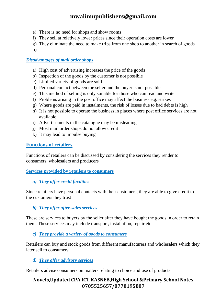- e) There is no need for shops and show rooms
- f) They sell at relatively lower prices since their operation costs are lower
- g) They eliminate the need to make trips from one shop to another in search of goods
- h)

### *Disadvantages of mail order shops*

- a) High cost of advertising increases the price of the goods
- b) Inspection of the goods by the customer is not possible
- c) Limited variety of goods are sold
- d) Personal contact between the seller and the buyer is not possible
- e) This method of selling is only suitable for those who can read and write
- f) Problems arising in the post office may affect the business e.g. strikes
- g) Where goods are paid in instalments, the risk of losses due to bad debts is high
- h) It is not possible to operate the business in places where post office services are not available
- i) Advertisements in the catalogue may be misleading
- j) Most mail order shops do not allow credit
- k) It may lead to impulse buying

### **Functions of retailers**

Functions of retailers can be discussed by considering the services they render to consumers, wholesalers and producers

### **Services provided by retailers to consumers**

*a) They offer credit facilities*

Since retailers have personal contacts with their customers, they are able to give credit to the customers they trust

### *b) They offer after-sales services*

These are services to buyers by the seller after they have bought the goods in order to retain them. These services may include transport, installation, repair etc.

*c) They provide a variety of goods to consumers*

Retailers can buy and stock goods from different manufacturers and wholesalers which they later sell to consumers

### *d) They offer advisory services*

Retailers advise consumers on matters relating to choice and use of products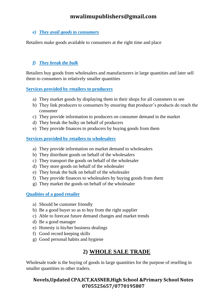### *e) They avail goods to consumers*

Retailers make goods available to consumers at the right time and place

### *f) They break the bulk*

Retailers buy goods from wholesalers and manufacturers in large quantities and later sell them to consumers in relatively smaller quantities

#### **Services provided by retailers to producers**

- a) They market goods by displaying them in their shops for all customers to see
- b) They link producers to consumers by ensuring that producer's products do reach the consumer
- c) They provide information to producers on consumer demand in the market
- d) They break the bulky on behalf of producers
- e) They provide finances to producers by buying goods from them

#### **Services provided by retailers to wholesalers**

- a) They provide information on market demand to wholesalers
- b) They distribute goods on behalf of the wholesalers
- c) They transport the goods on behalf of the wholesaler
- d) They store goods on behalf of the wholesaler
- e) They break the bulk on behalf of the wholesaler
- f) They provide finances to wholesalers by buying goods from them
- g) They market the goods on behalf of the wholesaler

### **Qualities of a good retailer**

- a) Should be customer friendly
- b) Be a good buyer so as to buy from the right supplier
- c) Able to forecast future demand changes and market trends
- d) Be a good manager
- e) Honesty is his/her business dealings
- f) Good record keeping skills
- g) Good personal habits and hygiene

## **2) WHOLE SALE TRADE**

Wholesale trade is the buying of goods in large quantities for the purpose of reselling in smaller quantities to other traders.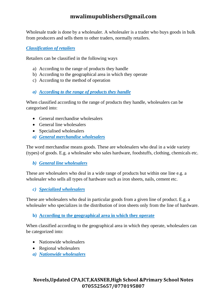Wholesale trade is done by a wholesaler. A wholesaler is a trader who buys goods in bulk from producers and sells them to other traders, normally retailers.

*Classification of retailers*

Retailers can be classified in the following ways

- a) According to the range of products they handle
- b) According to the geographical area in which they operate
- c) According to the method of operation

### *a) According to the range of products they handle*

When classified according to the range of products they handle, wholesalers can be categorised into:

- General merchandise wholesalers
- General line wholesalers
- Specialised wholesalers
- *a) General merchandise wholesalers*

The word merchandise means goods. These are wholesalers who deal in a wide variety (types) of goods. E.g. a wholesaler who sales hardware, foodstuffs, clothing, chemicals etc.

*b) General line wholesalers*

These are wholesalers who deal in a wide range of products but within one line e.g. a wholesaler who sells all types of hardware such as iron sheets, nails, cement etc.

### *c) Specialized wholesalers*

These are wholesalers who deal in particular goods from a given line of product. E.g. a wholesaler who specializes in the distribution of iron sheets only from the line of hardware.

### **b) According to the geographical area in which they operate**

When classified according to the geographical area in which they operate, wholesalers can be categorized into:

- Nationwide wholesalers
- Regional wholesalers
- *a) Nationwide wholesalers*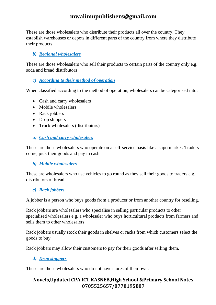These are those wholesalers who distribute their products all over the country. They establish warehouses or depots in different parts of the country from where they distribute their products

### *b) Regional wholesalers*

These are those wholesalers who sell their products to certain parts of the country only e.g. soda and bread distributors

### *c) According to their method of operation*

When classified according to the method of operation, wholesalers can be categorised into:

- Cash and carry wholesalers
- Mobile wholesalers
- Rack jobbers
- Drop shippers
- Truck wholesalers (distributors)
- *a) Cash and carry wholesalers*

These are those wholesalers who operate on a self-service basis like a supermarket. Traders come, pick their goods and pay in cash

### *b) Mobile wholesalers*

These are wholesalers who use vehicles to go round as they sell their goods to traders e.g. distributors of bread.

### *c) Rack jobbers*

A jobber is a person who buys goods from a producer or from another country for reselling.

Rack jobbers are wholesalers who specialise in selling particular products to other specialised wholesalers e.g. a wholesaler who buys horticultural products from farmers and sells them to other wholesalers

Rack jobbers usually stock their goods in shelves or racks from which customers select the goods to buy

Rack jobbers may allow their customers to pay for their goods after selling them.

### *d) Drop shippers*

These are those wholesalers who do not have stores of their own.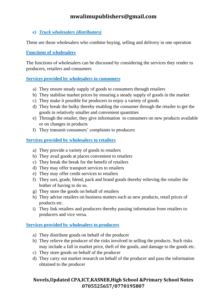### *e) Truck wholesalers (distributors)*

These are those wholesalers who combine buying, selling and delivery in one operation

### **Functions of wholesalers**

The functions of wholesalers can be discussed by considering the services they render to producers, retailers and consumers

#### **Services provided by wholesalers to consumers**

- a) They ensure steady supply of goods to consumers through retailers
- b) They stabilise market prices by ensuring a steady supply of goods in the market
- c) They make it possible for producers to enjoy a variety of goods
- d) They break the bulky thereby enabling the consumer through the retailer to get the goods in relatively smaller and convenient quantities
- e) Through the retailer, they give information to consumers on new products available or on changes in products
- f) They transmit consumers' complaints to producers

#### **Services provided by wholesalers to retailers**

- a) They provide a variety of goods to retailers
- b) They avail goods at places convenient to retailers
- c) They break the break for the benefit of retailers
- d) They may offer transport services to retailers
- e) They may offer credit services to retailers
- f) They sort, grade, blend, pack and brand goods thereby relieving the retailer the bother of having to do so.
- g) They store the goods on behalf of retailers
- h) They advise retailers on business matters such as new products, retail prices of products etc.
- i) They link retailers and producers thereby passing information from retailers to producers and vice versa.

### **Services provided by wholesalers to producers**

- a) They distribute goods on behalf of the producer
- b) They relieve the producer of the risks involved in selling the products. Such risks may include a fall in market price, theft of the goods, and damage to the goods etc.
- c) They store goods on behalf of the producer
- d) They carry out market research on behalf of the producer and pass the information obtained to the producer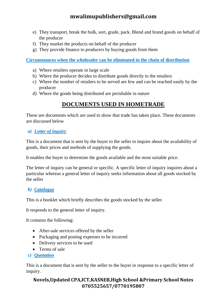- e) They transport, break the bulk, sort, grade, pack. Blend and brand goods on behalf of the producer
- f) They market the products on behalf of the producer
- g) They provide finance to producers by buying goods from them

**Circumstances when the wholesaler can be eliminated in the chain of distribution**

- a) Where retailers operate in large scale
- b) Where the producer decides to distribute goods directly to the retailers
- c) Where the number of retailers to be served are few and can be reached easily by the producer
- d) Where the goods being distributed are perishable in nature

# **DOCUMENTS USED IN HOMETRADE**

These are documents which are used to show that trade has taken place. These documents are discussed below

### *a) Letter of inquiry*

This is a document that is sent by the buyer to the seller to inquire about the availability of goods, their prices and methods of supplying the goods.

It enables the buyer to determine the goods available and the most suitable price.

The letter of inquiry can be general or specific. A specific letter of inquiry inquires about a particular whereas a general letter of inquiry seeks information about all goods stocked by the seller

### *b) Catalogue*

This is a booklet which briefly describes the goods stocked by the seller.

It responds to the general letter of inquiry.

It contains the following:

- After-sale services offered by the seller
- Packaging and posting expenses to be incurred
- Delivery services to be used
- Terms of sale
- *c) Quotation*

This is a document that is sent by the seller to the buyer in response to a specific letter of inquiry.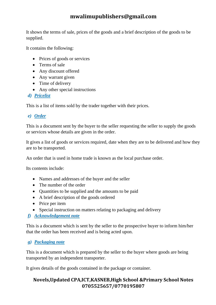It shows the terms of sale, prices of the goods and a brief description of the goods to be supplied.

It contains the following:

- Prices of goods or services
- Terms of sale
- Any discount offered
- Any warrant given
- Time of delivery
- Any other special instructions
- *d) Pricelist*

This is a list of items sold by the trader together with their prices.

### *e) Order*

This is a document sent by the buyer to the seller requesting the seller to supply the goods or services whose details are given in the order.

It gives a list of goods or services required, date when they are to be delivered and how they are to be transported.

An order that is used in home trade is known as the local purchase order.

Its contents include:

- Names and addresses of the buyer and the seller
- The number of the order
- Quantities to be supplied and the amounts to be paid
- A brief description of the goods ordered
- Price per item
- Special instruction on matters relating to packaging and delivery
- *f) Acknowledgement note*

This is a document which is sent by the seller to the prospective buyer to inform him/her that the order has been received and is being acted upon.

### *g) Packaging note*

This is a document which is prepared by the seller to the buyer where goods are being transported by an independent transporter.

It gives details of the goods contained in the package or container.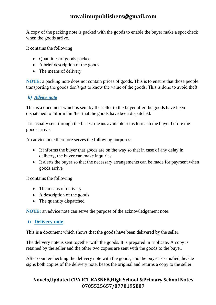A copy of the packing note is packed with the goods to enable the buyer make a spot check when the goods arrive.

It contains the following:

- Quantities of goods packed
- A brief description of the goods
- The means of delivery

**NOTE:** a packing note does not contain prices of goods. This is to ensure that those people transporting the goods don't get to know the value of the goods. This is done to avoid theft.

### *h) Advice note*

This is a document which is sent by the seller to the buyer after the goods have been dispatched to inform him/her that the goods have been dispatched.

It is usually sent through the fastest means available so as to reach the buyer before the goods arrive.

An advice note therefore serves the following purposes:

- It informs the buyer that goods are on the way so that in case of any delay in delivery, the buyer can make inquiries
- It alerts the buyer so that the necessary arrangements can be made for payment when goods arrive

It contains the following:

- The means of delivery
- A description of the goods
- The quantity dispatched

**NOTE:** an advice note can serve the purpose of the acknowledgement note.

### **i) Delivery note**

This is a document which shows that the goods have been delivered by the seller.

The delivery note is sent together with the goods. It is prepared in triplicate. A copy is retained by the seller and the other two copies are sent with the goods to the buyer.

After counterchecking the delivery note with the goods, and the buyer is satisfied, he/she signs both copies of the delivery note, keeps the original and returns a copy to the seller.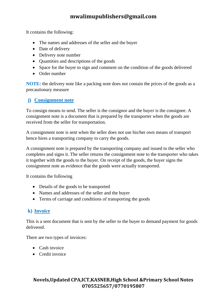It contains the following:

- The names and addresses of the seller and the buyer
- Date of delivery
- Delivery note number
- Quantities and descriptions of the goods
- Space for the buyer to sign and comment on the condition of the goods delivered
- Order number

**NOTE:** the delivery note like a packing note does not contain the prices of the goods as a precautionary measure

### **j) Consignment note**

To consign means to send. The seller is the consignor and the buyer is the consignee. A consignment note is a document that is prepared by the transporter when the goods are received from the seller for transportation.

A consignment note is sent when the seller does not use his/her own means of transport hence hires a transporting company to carry the goods.

A consignment note is prepared by the transporting company and issued to the seller who completes and signs it. The seller returns the consignment note to the transporter who takes it together with the goods to the buyer. On receipt of the goods, the buyer signs the consignment note as evidence that the goods were actually transported.

It contains the following

- Details of the goods to be transported
- Names and addresses of the seller and the buyer
- Terms of carriage and conditions of transporting the goods

## **k) Invoice**

This is a sent document that is sent by the seller to the buyer to demand payment for goods delivered.

There are two types of invoices:

- Cash invoice
- Credit invoice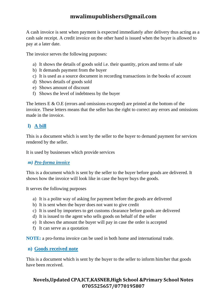A cash invoice is sent when payment is expected immediately after delivery thus acting as a cash sale receipt. A credit invoice on the other hand is issued when the buyer is allowed to pay at a later date.

The invoice serves the following purposes:

- a) It shows the details of goods sold i.e. their quantity, prices and terms of sale
- b) It demands payment from the buyer
- c) It is used as a source document in recording transactions in the books of account
- d) Shows details of goods sold
- e) Shows amount of discount
- f) Shows the level of indebtness by the buyer

The letters E & O.E (errors and omissions excepted) are printed at the bottom of the invoice. These letters means that the seller has the right to correct any errors and omissions made in the invoice.

## **l) A bill**

This is a document which is sent by the seller to the buyer to demand payment for services rendered by the seller.

It is used by businesses which provide services

### *m) Pro-forma invoice*

This is a document which is sent by the seller to the buyer before goods are delivered. It shows how the invoice will look like in case the buyer buys the goods.

It serves the following purposes

- a) It is a polite way of asking for payment before the goods are delivered
- b) It is sent when the buyer does not want to give credit
- c) It is used by importers to get customs clearance before goods are delivered
- d) It is issued to the agent who sells goods on behalf of the seller
- e) It shows the amount the buyer will pay in case the order is accepted
- f) It can serve as a quotation

**NOTE:** a pro-forma invoice can be used in both home and international trade.

### **n) Goods received note**

This is a document which is sent by the buyer to the seller to inform him/her that goods have been received.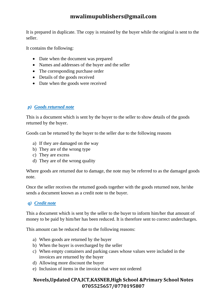It is prepared in duplicate. The copy is retained by the buyer while the original is sent to the seller.

It contains the following:

- Date when the document was prepared
- Names and addresses of the buyer and the seller
- The corresponding purchase order
- Details of the goods received
- Date when the goods were received

### *p) Goods returned note*

This is a document which is sent by the buyer to the seller to show details of the goods returned by the buyer.

Goods can be returned by the buyer to the seller due to the following reasons

- a) If they are damaged on the way
- b) They are of the wrong type
- c) They are excess
- d) They are of the wrong quality

Where goods are returned due to damage, the note may be referred to as the damaged goods note.

Once the seller receives the returned goods together with the goods returned note, he/she sends a document known as a credit note to the buyer.

### *q) Credit note*

This a document which is sent by the seller to the buyer to inform him/her that amount of money to be paid by him/her has been reduced. It is therefore sent to correct undercharges.

This amount can be reduced due to the following reasons:

- a) When goods are returned by the buyer
- b) When the buyer is overcharged by the seller
- c) When empty containers and parking cases whose values were included in the invoices are returned by the buyer
- d) Allowing more discount the buyer
- e) Inclusion of items in the invoice that were not ordered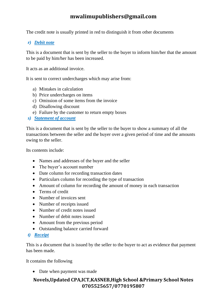The credit note is usually printed in red to distinguish it from other documents

### *r) Debit note*

This is a document that is sent by the seller to the buyer to inform him/her that the amount to be paid by him/her has been increased.

It acts as an additional invoice.

It is sent to correct undercharges which may arise from:

- a) Mistakes in calculation
- b) Price undercharges on items
- c) Omission of some items from the invoice
- d) Disallowing discount
- e) Failure by the customer to return empty boxes
- *s) Statement of account*

This is a document that is sent by the seller to the buyer to show a summary of all the transactions between the seller and the buyer over a given period of time and the amounts owing to the seller.

Its contents include:

- Names and addresses of the buyer and the seller
- The buyer's account number
- Date column for recording transaction dates
- Particulars column for recording the type of transaction
- Amount of column for recording the amount of money in each transaction
- Terms of credit
- Number of invoices sent
- Number of receipts issued
- Number of credit notes issued
- Number of debit notes issued
- Amount from the previous period
- Outstanding balance carried forward
- *t) Receipt*

This is a document that is issued by the seller to the buyer to act as evidence that payment has been made.

It contains the following

• Date when payment was made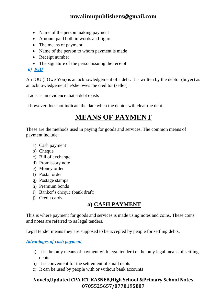- Name of the person making payment
- Amount paid both in words and figure
- The means of payment
- Name of the person to whom payment is made
- Receipt number
- The signature of the person issuing the receipt

### *u) IOU*

An IOU (I Owe You) is an acknowledgement of a debt. It is written by the debtor (buyer) as an acknowledgement he/she owes the creditor (seller)

It acts as an evidence that a debt exists

It however does not indicate the date when the debtor will clear the debt.

# **MEANS OF PAYMENT**

These are the methods used in paying for goods and services. The common means of payment include:

- a) Cash payment
- b) Cheque
- c) Bill of exchange
- d) Promissory note
- e) Money order
- f) Postal order
- g) Postage stamps
- h) Premium bonds
- i) Banker's cheque (bank draft)
- j) Credit cards

# **a) CASH PAYMENT**

This is where payment for goods and services is made using notes and coins. These coins and notes are referred to as legal tenders.

Legal tender means they are supposed to be accepted by people for settling debts.

#### *Advantages of cash payment*

- a) It is the only means of payment with legal tender i.e. the only legal means of settling debts
- b) It is convenient for the settlement of small debts
- c) It can be used by people with or without bank accounts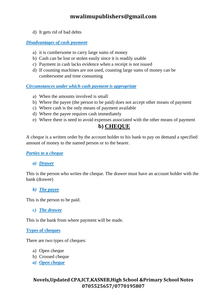d) It gets rid of bad debts

#### *Disadvantages of cash payment*

- a) it is cumbersome to carry large sums of money
- b) Cash can be lost or stolen easily since it is readily usable
- c) Payment in cash lacks evidence when a receipt is not issued
- d) If counting machines are not used, counting large sums of money can be cumbersome and time consuming

#### *Circumstances under which cash payment is appropriate*

- a) When the amounts involved is small
- b) Where the payee (the person to be paid) does not accept other means of payment
- c) Where cash is the only means of payment available
- d) Where the payee requires cash immediately
- e) Where there is need to avoid expenses associated with the other means of payment

## **b) CHEQUE**

A cheque is a written order by the account holder to his bank to pay on demand a specified amount of money to the named person or to the bearer.

#### *Parties to a cheque*

#### *a) Drawer*

This is the person who writes the cheque. The drawer must have an account holder with the bank (drawee)

#### *b) The payee*

This is the person to be paid.

*c) The drawee*

This is the bank from where payment will be made.

#### **Types of cheques**

There are two types of cheques:

- a) Open cheque
- b) Crossed cheque
- *a) Open cheque*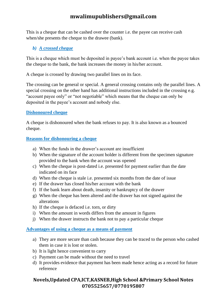This is a cheque that can be cashed over the counter i.e. the payee can receive cash when/she presents the cheque to the drawee (bank).

### *b) A crossed cheque*

This is a cheque which must be deposited in payee's bank account i.e. when the payee takes the cheque to the bank, the bank increases the money in his/her account.

A cheque is crossed by drawing two parallel lines on its face.

The crossing can be general or special. A general crossing contains only the parallel lines. A special crossing on the other hand has additional instructions included in the crossing e.g. "account payee only" or "not negotiable" which means that the cheque can only be deposited in the payee's account and nobody else.

### **Dishonoured cheque**

A cheque is dishonoured when the bank refuses to pay. It is also known as a bounced cheque.

### **Reasons for dishonouring a cheque**

- a) When the funds in the drawer's account are insufficient
- b) When the signature of the account holder is different from the specimen signature provided to the bank when the account was opened
- c) When the cheque is post-dated i.e. presented for payment earlier than the date indicated on its face
- d) When the cheque is stale i.e. presented six months from the date of issue
- e) If the drawer has closed his/her account with the bank
- f) If the bank learn about death, insanity or bankruptcy of the drawer
- g) When the cheque has been altered and the drawer has not signed against the alterations
- h) If the cheque is defaced i.e. torn, or dirty
- i) When the amount in words differs from the amount in figures
- j) When the drawer instructs the bank not to pay a particular cheque

### **Advantages of using a cheque as a means of payment**

- a) They are more secure than cash because they can be traced to the person who cashed them in case it is lost or stolen.
- b) It is light hence convenient to carry
- c) Payment can be made without the need to travel
- d) It provides evidence that payment has been made hence acting as a record for future reference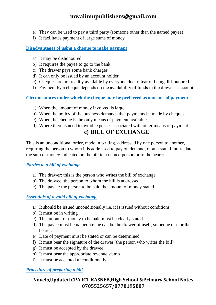- e) They can be used to pay a third party (someone other than the named payee)
- f) It facilitates payment of large sums of money

#### **Disadvantages of using a cheque to make payment**

- a) It may be dishonoured
- b) It requires the payee to go to the bank
- c) The drawer pays some bank charges
- d) It can only be issued by an account holder
- e) Cheques are not readily available by everyone due to fear of being dishonoured
- f) Payment by a cheque depends on the availability of funds in the drawer's account

#### **Circumstances under which the cheque may be preferred as a means of payment**

- a) When the amount of money involved is large
- b) When the policy of the business demands that payments be made by cheques
- c) When the cheque is the only means of payment available
- d) Where there is need to avoid expenses associated with other means of payment

## **c) BILL OF EXCHANGE**

This is an unconditional order, made in writing, addressed by one person to another, requiring the person to whom it is addressed to pay on demand, or at a stated future date, the sum of money indicated on the bill to a named person or to the bearer.

#### *Parties to a bill of exchange*

- a) The drawer: this is the person who writes the bill of exchange
- b) The drawee: the person to whom the bill is addressed
- c) The payee: the person to be paid the amount of money stated

#### *Essentials of a valid bill of exchange*

- a) It should be issued unconditionally i.e. it is issued without conditions
- b) It must be in writing
- c) The amount of money to be paid must be clearly stated
- d) The payee must be named i.e. he can be the drawer himself, someone else or the bearer.
- e) Date of payment must be stated or can be determined
- f) It must bear the signature of the drawer (the person who writes the bill)
- g) It must be accepted by the drawee
- h) It must bear the appropriate revenue stamp
- i) It must be accepted unconditionally

### *Procedure of preparing a bill*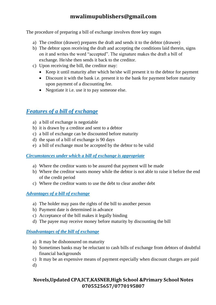The procedure of preparing a bill of exchange involves three key stages

- a) The creditor (drawer) prepares the draft and sends it to the debtor (drawee)
- b) The debtor upon receiving the draft and accepting the conditions laid therein, signs on it and writes the word "accepted". The signature makes the draft a bill of exchange. He/she then sends it back to the creditor.
- c) Upon receiving the bill, the creditor may:
	- Keep it until maturity after which he/she will present it to the debtor for payment
	- Discount it with the bank i.e. present it to the bank for payment before maturity upon payment of a discounting fee.
	- Negotiate it i.e. use it to pay someone else.

## *Features of a bill of exchange*

- a) a bill of exchange is negotiable
- b) it is drawn by a creditor and sent to a debtor
- c) a bill of exchange can be discounted before maturity
- d) the span of a bill of exchange is 90 days
- e) a bill of exchange must be accepted by the debtor to be valid

### *Circumstances under which a bill of exchange is appropriate*

- a) Where the creditor wants to be assured that payment will be made
- b) Where the creditor wants money while the debtor is not able to raise it before the end of the credit period
- c) Where the creditor wants to use the debt to clear another debt

### *Advantages of a bill of exchange*

- a) The holder may pass the rights of the bill to another person
- b) Payment date is determined in advance
- c) Acceptance of the bill makes it legally binding
- d) The payee may receive money before maturity by discounting the bill

### *Disadvantages of the bill of exchange*

- a) It may be dishonoured on maturity
- b) Sometimes banks may be reluctant to cash bills of exchange from debtors of doubtful financial backgrounds
- c) It may be an expensive means of payment especially when discount charges are paid d)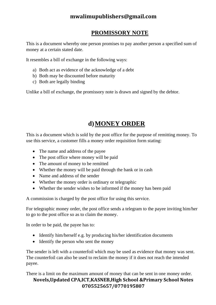## **PROMISSORY NOTE**

This is a document whereby one person promises to pay another person a specified sum of money at a certain stated date.

It resembles a bill of exchange in the following ways:

- a) Both act as evidence of the acknowledge of a debt
- b) Both may be discounted before maturity
- c) Both are legally binding

Unlike a bill of exchange, the promissory note is drawn and signed by the debtor.

# **d)MONEY ORDER**

This is a document which is sold by the post office for the purpose of remitting money. To use this service, a customer fills a money order requisition form stating:

- The name and address of the payee
- The post office where money will be paid
- The amount of money to be remitted
- Whether the money will be paid through the bank or in cash
- Name and address of the sender
- Whether the money order is ordinary or telegraphic
- Whether the sender wishes to be informed if the money has been paid

A commission is charged by the post office for using this service.

For telegraphic money order, the post office sends a telegram to the payee inviting him/her to go to the post office so as to claim the money.

In order to be paid, the payee has to:

- Identify him/herself e.g. by producing his/her identification documents
- Identify the person who sent the money

The sender is left with a counterfoil which may be used as evidence that money was sent. The counterfoil can also be used to reclaim the money if it does not reach the intended payee.

There is a limit on the maximum amount of money that can be sent in one money order.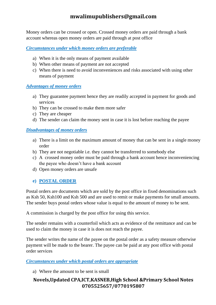Money orders can be crossed or open. Crossed money orders are paid through a bank account whereas open money orders are paid through at post office

*Circumstances under which money orders are preferable*

- a) When it is the only means of payment available
- b) When other means of payment are not accepted
- c) When there is need to avoid inconveniences and risks associated with using other means of payment

### *Advantages of money orders*

- a) They guarantee payment hence they are readily accepted in payment for goods and services
- b) They can be crossed to make them more safer
- c) They are cheaper
- d) The sender can claim the money sent in case it is lost before reaching the payee

### *Disadvantages of money orders*

- a) There is a limit on the maximum amount of money that can be sent in a single money order
- b) They are not negotiable i.e. they cannot be transferred to somebody else
- c) A crossed money order must be paid through a bank account hence inconveniencing the payee who doesn't have a bank account
- d) Open money orders are unsafe

### **e) POSTAL ORDER**

Postal orders are documents which are sold by the post office in fixed denominations such as Ksh 50, Ksh100 and Ksh 500 and are used to remit or make payments for small amounts. The sender buys postal orders whose value is equal to the amount of money to be sent.

A commission is charged by the post office for using this service.

The sender remains with a counterfoil which acts as evidence of the remittance and can be used to claim the money in case it is does not reach the payee.

The sender writes the name of the payee on the postal order as a safety measure otherwise payment will be made to the bearer. The payee can be paid at any post office with postal order services

### *Circumstances under which postal orders are appropriate*

a) Where the amount to be sent is small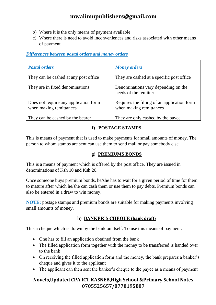- b) Where it is the only means of payment available
- c) Where there is need to avoid inconveniences and risks associated with other means of payment

### *Differences between postal orders and money orders*

| <b>Postal orders</b>                                             | <b>Money orders</b>                                                    |
|------------------------------------------------------------------|------------------------------------------------------------------------|
| They can be cashed at any post office                            | They are cashed at a specific post office.                             |
| They are in fixed denominations                                  | Denominations vary depending on the<br>needs of the remitter           |
| Does not require any application form<br>when making remittances | Requires the filling of an application form<br>when making remittances |
| They can be cashed by the bearer                                 | They are only cashed by the payee                                      |

### **f) POSTAGE STAMPS**

This is means of payment that is used to make payments for small amounts of money. The person to whom stamps are sent can use them to send mail or pay somebody else.

### **g) PREMIUMS BONDS**

This is a means of payment which is offered by the post office. They are issued in denominations of Ksh 10 and Ksh 20.

Once someone buys premium bonds, he/she has to wait for a given period of time for them to mature after which he/she can cash them or use them to pay debts. Premium bonds can also be entered in a draw to win money.

**NOTE:** postage stamps and premium bonds are suitable for making payments involving small amounts of money.

### **h) BANKER'S CHEQUE (bank draft)**

This a cheque which is drawn by the bank on itself. To use this means of payment:

- One has to fill an application obtained from the bank
- The filled application form together with the money to be transferred is handed over to the bank
- On receiving the filled application form and the money, the bank prepares a banker's cheque and gives it to the applicant
- The applicant can then sent the banker's cheque to the payee as a means of payment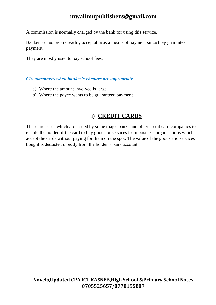A commission is normally charged by the bank for using this service.

Banker's cheques are readily acceptable as a means of payment since they guarantee payment.

They are mostly used to pay school fees.

*Circumstances when banker's cheques are appropriate*

- a) Where the amount involved is large
- b) Where the payee wants to be guaranteed payment

# **i) CREDIT CARDS**

These are cards which are issued by some major banks and other credit card companies to enable the holder of the card to buy goods or services from business organisations which accept the cards without paying for them on the spot. The value of the goods and services bought is deducted directly from the holder's bank account.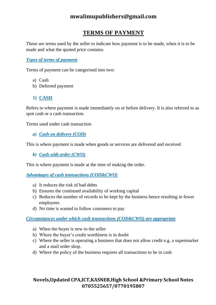# **TERMS OF PAYMENT**

These are terms used by the seller to indicate how payment is to be made, when it is to be made and what the quoted price contains.

### *Types of terms of payment*

Terms of payment can be categorised into two:

- a) Cash
- b) Deferred payment

## **1) CASH**

Refers to where payment is made immediately on or before delivery. It is also referred to as spot cash or a cash transaction.

Terms used under cash transaction

*a) Cash on delivery (COD)*

This is where payment is made when goods or services are delivered and received

*b) Cash with order (CWO)*

This is where payment is made at the time of making the order.

*Advantages of cash transactions (COD&CWO)*

- a) It reduces the risk of bad debts
- b) Ensures the continued availability of working capital
- c) Reduces the number of records to be kept by the business hence resulting in fewer employees
- d) No time is wasted to follow customers to pay

*Circumstances under which cash transactions (COD&CWO) are appropriate*

- a) When the buyer is new to the seller
- b) Where the buyer's credit worthiness is in doubt
- c) Where the seller is operating a business that does not allow credit e.g. a supermarket and a mail order shop.
- d) Where the policy of the business requires all transactions to be in cash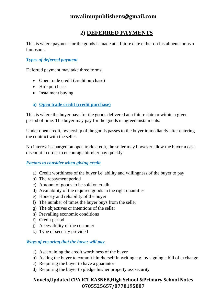# **2) DEFERRED PAYMENTS**

This is where payment for the goods is made at a future date either on instalments or as a lumpsum.

### *Types of deferred payment*

Deferred payment may take three forms;

- Open trade credit (credit purchase)
- Hire purchase
- Instalment buying
- **a) Open trade credit (credit purchase)**

This is where the buyer pays for the goods delivered at a future date or within a given period of time. The buyer may pay for the goods in agreed instalments.

Under open credit, ownership of the goods passes to the buyer immediately after entering the contract with the seller.

No interest is charged on open trade credit, the seller may however allow the buyer a cash discount in order to encourage him/her pay quickly

### *Factors to consider when giving credit*

- a) Credit worthiness of the buyer i.e. ability and willingness of the buyer to pay
- b) The repayment period
- c) Amount of goods to be sold on credit
- d) Availability of the required goods in the right quantities
- e) Honesty and reliability of the buyer
- f) The number of times the buyer buys from the seller
- g) The objectives or intentions of the seller
- h) Prevailing economic conditions
- i) Credit period
- j) Accessibility of the customer
- k) Type of security provided

### *Ways of ensuring that the buyer will pay*

- a) Ascertaining the credit worthiness of the buyer
- b) Asking the buyer to commit him/herself in writing e.g. by signing a bill of exchange
- c) Requiring the buyer to have a guarantor
- d) Requiring the buyer to pledge his/her property ass security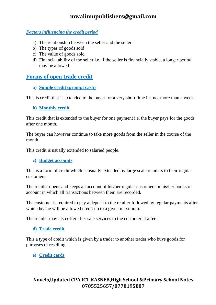### *Factors influencing the credit period*

- a) The relationship between the seller and the seller
- b) The types of goods sold
- c) The value of goods sold
- d) Financial ability of the seller i.e. if the seller is financially stable, a longer period may be allowed

## **Forms of open trade credit**

**a) Simple credit (prompt cash)**

This is credit that is extended to the buyer for a very short time i.e. not more than a week.

#### **b) Monthly credit**

This credit that is extended to the buyer for one payment i.e. the buyer pays for the goods after one month.

The buyer can however continue to take more goods from the seller in the course of the month.

This credit is usually extended to salaried people.

### **c) Budget accounts**

This is a form of credit which is usually extended by large scale retailers to their regular customers.

The retailer opens and keeps an account of his/her regular customers in his/her books of account in which all transactions between them are recorded.

The customer is required to pay a deposit to the retailer followed by regular payments after which he/she will be allowed credit up to a given maximum.

The retailer may also offer after sale services to the customer at a fee.

### **d) Trade credit**

This a type of credit which is given by a trader to another trader who buys goods for purposes of reselling.

### **e) Credit cards**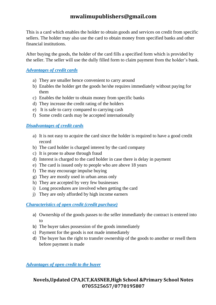This is a card which enables the holder to obtain goods and services on credit from specific sellers. The holder may also use the card to obtain money from specified banks and other financial institutions.

After buying the goods, the holder of the card fills a specified form which is provided by the seller. The seller will use the dully filled form to claim payment from the holder's bank.

#### *Advantages of credit cards*

- a) They are smaller hence convenient to carry around
- b) Enables the holder get the goods he/she requires immediately without paying for them
- c) Enables the holder to obtain money from specific banks
- d) They increase the credit rating of the holders
- e) It is safe to carry compared to carrying cash
- f) Some credit cards may be accepted internationally

### *Disadvantages of credit cards*

- a) It is not easy to acquire the card since the holder is required to have a good credit record
- b) The card holder is charged interest by the card company
- c) It is prone to abuse through fraud
- d) Interest is charged to the card holder in case there is delay in payment
- e) The card is issued only to people who are above 18 years
- f) The may encourage impulse buying
- g) They are mostly used in urban areas only
- h) They are accepted by very few businesses
- i) Long procedures are involved when getting the card
- j) They are only afforded by high income earners

### *Characteristics of open credit (credit purchase)*

- a) Ownership of the goods passes to the seller immediately the contract is entered into to
- b) The buyer takes possession of the goods immediately
- c) Payment for the goods is not made immediately
- d) The buyer has the right to transfer ownership of the goods to another or resell them before payment is made

*Advantages of open credit to the buyer*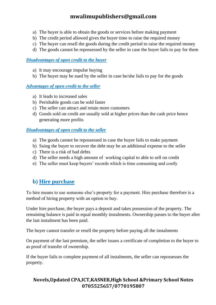- a) The buyer is able to obtain the goods or services before making payment
- b) The credit period allowed gives the buyer time to raise the required money
- c) The buyer can resell the goods during the credit period to raise the required money
- d) The goods cannot be repossessed by the seller in case the buyer fails to pay for them

### *Disadvantages of open credit to the buyer*

- a) It may encourage impulse buying
- b) The buyer may be sued by the seller in case he/she fails to pay for the goods

### *Advantages of open credit to the seller*

- a) It leads to increased sales
- b) Perishable goods can be sold faster
- c) The seller can attract and retain more customers
- d) Goods sold on credit are usually sold at higher prices than the cash price hence generating more profits

### *Disadvantages of open credit to the seller*

- a) The goods cannot be repossessed in case the buyer fails to make payment
- b) Suing the buyer to recover the debt may be an additional expense to the seller
- c) There is a risk of bad debts
- d) The seller needs a high amount of working capital to able to sell on credit
- e) The seller must keep buyers' records which is time consuming and costly

## **b) Hire purchase**

To hire means to use someone else's property for a payment. Hire purchase therefore is a method of hiring property with an option to buy.

Under hire purchase, the buyer pays a deposit and takes possession of the property. The remaining balance is paid in equal monthly instalments. Ownership passes to the buyer after the last instalment has been paid.

The buyer cannot transfer or resell the property before paying all the instalments

On payment of the last premium, the seller issues a certificate of completion to the buyer to as proof of transfer of ownership.

If the buyer fails to complete payment of all instalments, the seller can repossesses the property.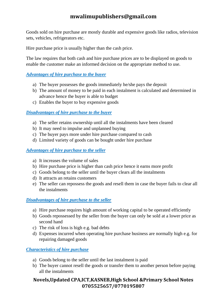Goods sold on hire purchase are mostly durable and expensive goods like radios, television sets, vehicles, refrigerators etc.

Hire purchase price is usually higher than the cash price.

The law requires that both cash and hire purchase prices are to be displayed on goods to enable the customer make an informed decision on the appropriate method to use.

#### *Advantages of hire purchase to the buyer*

- a) The buyer possesses the goods immediately he/she pays the deposit
- b) The amount of money to be paid in each instalment is calculated and determined in advance hence the buyer is able to budget
- c) Enables the buyer to buy expensive goods

#### *Disadvantages of hire purchase to the buyer*

- a) The seller retains ownership until all the instalments have been cleared
- b) It may need to impulse and unplanned buying
- c) The buyer pays more under hire purchase compared to cash
- d) Limited variety of goods can be bought under hire purchase

#### *Advantages of hire purchase to the seller*

- a) It increases the volume of sales
- b) Hire purchase price is higher than cash price hence it earns more profit
- c) Goods belong to the seller until the buyer clears all the instalments
- d) It attracts an retains customers
- e) The seller can repossess the goods and resell them in case the buyer fails to clear all the instalments

#### *Disadvantages of hire purchase to the seller*

- a) Hire purchase requires high amount of working capital to be operated efficiently
- b) Goods repossessed by the seller from the buyer can only be sold at a lower price as second hand
- c) The risk of loss is high e.g. bad debts
- d) Expenses incurred when operating hire purchase business are normally high e.g. for repairing damaged goods

#### *Characteristics of hire purchase*

- a) Goods belong to the seller until the last instalment is paid
- b) The buyer cannot resell the goods or transfer them to another person before paying all the instalments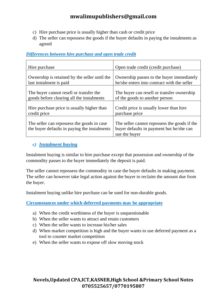- c) Hire purchase price is usually higher than cash or credit price
- d) The seller can repossess the goods if the buyer defaults in paying the instalments as agreed

### *Differences between hire purchase and open trade credit*

| Hire purchase                                                                              | Open trade credit (credit purchase)                                                                       |
|--------------------------------------------------------------------------------------------|-----------------------------------------------------------------------------------------------------------|
| Ownership is retained by the seller until the                                              | Ownership passes to the buyer immediately                                                                 |
| last instalment is paid                                                                    | he/she enters into contract with the seller                                                               |
| The buyer cannot resell or transfer the                                                    | The buyer can resell or transfer ownership                                                                |
| goods before clearing all the instalments                                                  | of the goods to another person                                                                            |
| Hire purchase price is usually higher than                                                 | Credit price is usually lower than hire                                                                   |
| credit price                                                                               | purchase price                                                                                            |
| The seller can repossess the goods in case<br>the buyer defaults in paying the instalments | The seller cannot repossess the goods if the<br>buyer defaults in payment but he/she can<br>sue the buyer |

### *c) Instalment buying*

Instalment buying is similar to hire purchase except that possession and ownership of the commodity passes to the buyer immediately the deposit is paid.

The seller cannot repossess the commodity in case the buyer defaults in making payment. The seller can however take legal action against the buyer to reclaim the amount due from the buyer.

Instalment buying unlike hire purchase can be used for non-durable goods.

**Circumstances under which deferred payments may be appropriate**

- a) When the credit worthiness of the buyer is unquestionable
- b) When the seller wants to attract and retain customers
- c) When the seller wants to increase his/her sales
- d) When market competition is high and the buyer wants to use deferred payment as a tool to counter market competition
- e) When the seller wants to expose off slow moving stock

### **Novels,Updated CPA,ICT,KASNEB,High School &Primary School Notes 0705525657/0770195807**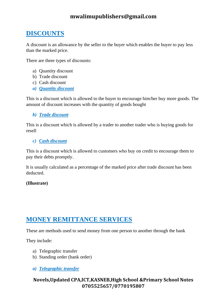# **DISCOUNTS**

A discount is an allowance by the seller to the buyer which enables the buyer to pay less than the marked price.

There are three types of discounts:

- a) Quantity discount
- b) Trade discount
- c) Cash discount
- *a) Quantity discount*

This is a discount which is allowed to the buyer to encourage him/her buy more goods. The amount of discount increases with the quantity of goods bought

### *b) Trade discount*

This is a discount which is allowed by a trader to another trader who is buying goods for resell

#### *c) Cash discount*

This is a discount which is allowed to customers who buy on credit to encourage them to pay their debts promptly.

It is usually calculated as a percentage of the marked price after trade discount has been deducted.

### **(Illustrate)**

## **MONEY REMITTANCE SERVICES**

These are methods used to send money from one person to another through the bank

They include:

- a) Telegraphic transfer
- b) Standing order (bank order)

### *a) Telegraphic transfer*

### **Novels,Updated CPA,ICT,KASNEB,High School &Primary School Notes 0705525657/0770195807**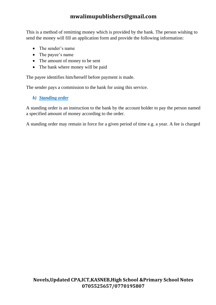This is a method of remitting money which is provided by the bank. The person wishing to send the money will fill an application form and provide the following information:

- The sender's name
- The payee's name
- The amount of money to be sent
- The bank where money will be paid

The payee identifies him/herself before payment is made.

The sender pays a commission to the bank for using this service.

### *b) Standing order*

A standing order is an instruction to the bank by the account holder to pay the person named a specified amount of money according to the order.

A standing order may remain in force for a given period of time e.g. a year. A fee is charged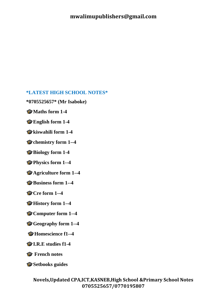### **\*LATEST HIGH SCHOOL NOTES\***

**\*0705525657\* (Mr Isaboke)**

**Maths form 1-4**

**English form 1-4** 

**kiswahili form 1-4**

Chemistry form 1--4

**Biology form 1-4**

**Physics form 1--4**

**Agriculture form 1--4**

**Business form 1--4**

**Cre form 1--4**

**History form 1--4**

**Computer form 1--4**

**Geography form 1--4** 

**Homescience f1--4**

**I.R.E studies f1-4**

**French notes**

**Setbooks guides**

**Novels,Updated CPA,ICT,KASNEB,High School &Primary School Notes 0705525657/0770195807**